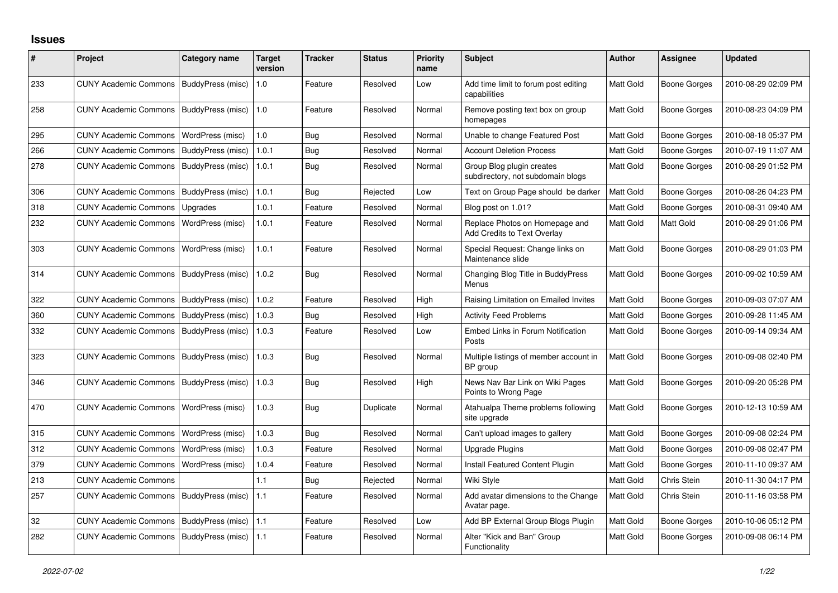## **Issues**

| #   | Project                                   | Category name            | <b>Target</b><br>version | <b>Tracker</b> | <b>Status</b> | <b>Priority</b><br>name | <b>Subject</b>                                                 | <b>Author</b> | <b>Assignee</b>     | <b>Updated</b>      |
|-----|-------------------------------------------|--------------------------|--------------------------|----------------|---------------|-------------------------|----------------------------------------------------------------|---------------|---------------------|---------------------|
| 233 | <b>CUNY Academic Commons</b>              | BuddyPress (misc)        | 1.0                      | Feature        | Resolved      | Low                     | Add time limit to forum post editing<br>capabilities           | Matt Gold     | <b>Boone Gorges</b> | 2010-08-29 02:09 PM |
| 258 | <b>CUNY Academic Commons</b>              | BuddyPress (misc)        | 1.0                      | Feature        | Resolved      | Normal                  | Remove posting text box on group<br>homepages                  | Matt Gold     | <b>Boone Gorges</b> | 2010-08-23 04:09 PM |
| 295 | <b>CUNY Academic Commons</b>              | WordPress (misc)         | 1.0                      | Bug            | Resolved      | Normal                  | Unable to change Featured Post                                 | Matt Gold     | <b>Boone Gorges</b> | 2010-08-18 05:37 PM |
| 266 | <b>CUNY Academic Commons</b>              | BuddyPress (misc)        | 1.0.1                    | Bug            | Resolved      | Normal                  | <b>Account Deletion Process</b>                                | Matt Gold     | <b>Boone Gorges</b> | 2010-07-19 11:07 AM |
| 278 | <b>CUNY Academic Commons</b>              | BuddyPress (misc)        | 1.0.1                    | Bug            | Resolved      | Normal                  | Group Blog plugin creates<br>subdirectory, not subdomain blogs | Matt Gold     | <b>Boone Gorges</b> | 2010-08-29 01:52 PM |
| 306 | <b>CUNY Academic Commons</b>              | BuddyPress (misc)        | 1.0.1                    | Bug            | Rejected      | Low                     | Text on Group Page should be darker                            | Matt Gold     | <b>Boone Gorges</b> | 2010-08-26 04:23 PM |
| 318 | <b>CUNY Academic Commons</b>              | Upgrades                 | 1.0.1                    | Feature        | Resolved      | Normal                  | Blog post on 1.01?                                             | Matt Gold     | <b>Boone Gorges</b> | 2010-08-31 09:40 AM |
| 232 | <b>CUNY Academic Commons</b>              | WordPress (misc)         | 1.0.1                    | Feature        | Resolved      | Normal                  | Replace Photos on Homepage and<br>Add Credits to Text Overlay  | Matt Gold     | Matt Gold           | 2010-08-29 01:06 PM |
| 303 | <b>CUNY Academic Commons</b>              | WordPress (misc)         | 1.0.1                    | Feature        | Resolved      | Normal                  | Special Request: Change links on<br>Maintenance slide          | Matt Gold     | <b>Boone Gorges</b> | 2010-08-29 01:03 PM |
| 314 | <b>CUNY Academic Commons</b>              | BuddyPress (misc)        | 1.0.2                    | Bug            | Resolved      | Normal                  | Changing Blog Title in BuddyPress<br>Menus                     | Matt Gold     | Boone Gorges        | 2010-09-02 10:59 AM |
| 322 | <b>CUNY Academic Commons</b>              | BuddyPress (misc)        | 1.0.2                    | Feature        | Resolved      | High                    | Raising Limitation on Emailed Invites                          | Matt Gold     | <b>Boone Gorges</b> | 2010-09-03 07:07 AM |
| 360 | <b>CUNY Academic Commons</b>              | BuddyPress (misc)        | 1.0.3                    | <b>Bug</b>     | Resolved      | High                    | <b>Activity Feed Problems</b>                                  | Matt Gold     | Boone Gorges        | 2010-09-28 11:45 AM |
| 332 | <b>CUNY Academic Commons</b>              | BuddyPress (misc)        | 1.0.3                    | Feature        | Resolved      | Low                     | Embed Links in Forum Notification<br>Posts                     | Matt Gold     | <b>Boone Gorges</b> | 2010-09-14 09:34 AM |
| 323 | <b>CUNY Academic Commons</b>              | BuddyPress (misc)        | 1.0.3                    | <b>Bug</b>     | Resolved      | Normal                  | Multiple listings of member account in<br>BP group             | Matt Gold     | Boone Gorges        | 2010-09-08 02:40 PM |
| 346 | <b>CUNY Academic Commons</b>              | <b>BuddyPress</b> (misc) | 1.0.3                    | <b>Bug</b>     | Resolved      | High                    | News Nav Bar Link on Wiki Pages<br>Points to Wrong Page        | Matt Gold     | Boone Gorges        | 2010-09-20 05:28 PM |
| 470 | <b>CUNY Academic Commons</b>              | WordPress (misc)         | 1.0.3                    | Bug            | Duplicate     | Normal                  | Atahualpa Theme problems following<br>site upgrade             | Matt Gold     | Boone Gorges        | 2010-12-13 10:59 AM |
| 315 | <b>CUNY Academic Commons</b>              | WordPress (misc)         | 1.0.3                    | Bug            | Resolved      | Normal                  | Can't upload images to gallery                                 | Matt Gold     | <b>Boone Gorges</b> | 2010-09-08 02:24 PM |
| 312 | <b>CUNY Academic Commons</b>              | WordPress (misc)         | 1.0.3                    | Feature        | Resolved      | Normal                  | Upgrade Plugins                                                | Matt Gold     | <b>Boone Gorges</b> | 2010-09-08 02:47 PM |
| 379 | <b>CUNY Academic Commons</b>              | WordPress (misc)         | 1.0.4                    | Feature        | Resolved      | Normal                  | Install Featured Content Plugin                                | Matt Gold     | <b>Boone Gorges</b> | 2010-11-10 09:37 AM |
| 213 | <b>CUNY Academic Commons</b>              |                          | 1.1                      | Bug            | Rejected      | Normal                  | Wiki Style                                                     | Matt Gold     | Chris Stein         | 2010-11-30 04:17 PM |
| 257 | <b>CUNY Academic Commons</b>              | BuddyPress (misc)        | 1.1                      | Feature        | Resolved      | Normal                  | Add avatar dimensions to the Change<br>Avatar page.            | Matt Gold     | Chris Stein         | 2010-11-16 03:58 PM |
| 32  | <b>CUNY Academic Commons</b>              | BuddyPress (misc)        | 1.1                      | Feature        | Resolved      | Low                     | Add BP External Group Blogs Plugin                             | Matt Gold     | Boone Gorges        | 2010-10-06 05:12 PM |
| 282 | CUNY Academic Commons   BuddyPress (misc) |                          | 1.1                      | Feature        | Resolved      | Normal                  | Alter "Kick and Ban" Group<br>Functionality                    | Matt Gold     | <b>Boone Gorges</b> | 2010-09-08 06:14 PM |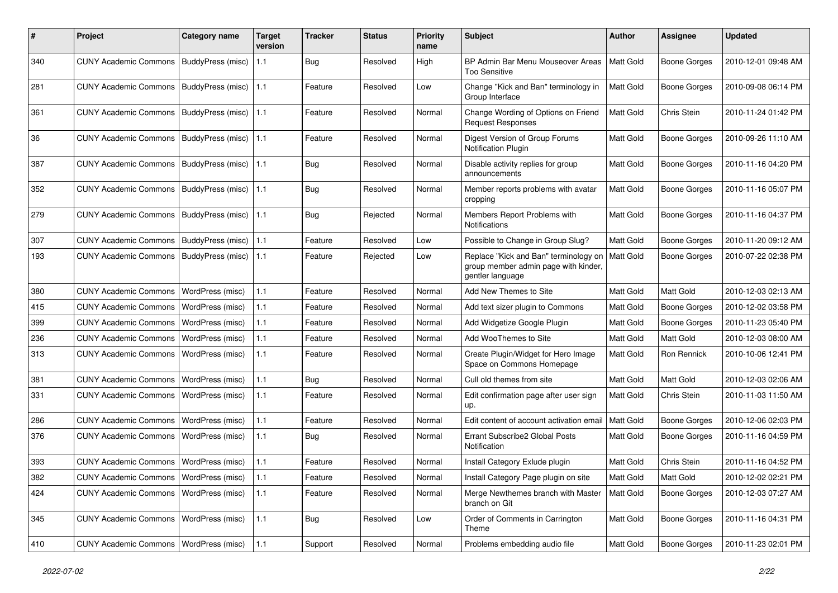| #   | Project                                  | <b>Category name</b>     | <b>Target</b><br>version | <b>Tracker</b> | <b>Status</b> | <b>Priority</b><br>name | <b>Subject</b>                                                                                    | <b>Author</b> | <b>Assignee</b>     | <b>Updated</b>      |
|-----|------------------------------------------|--------------------------|--------------------------|----------------|---------------|-------------------------|---------------------------------------------------------------------------------------------------|---------------|---------------------|---------------------|
| 340 | <b>CUNY Academic Commons</b>             | BuddyPress (misc)        | 1.1                      | <b>Bug</b>     | Resolved      | High                    | BP Admin Bar Menu Mouseover Areas<br><b>Too Sensitive</b>                                         | Matt Gold     | <b>Boone Gorges</b> | 2010-12-01 09:48 AM |
| 281 | <b>CUNY Academic Commons</b>             | BuddyPress (misc)        | 1.1                      | Feature        | Resolved      | Low                     | Change "Kick and Ban" terminology in<br>Group Interface                                           | Matt Gold     | <b>Boone Gorges</b> | 2010-09-08 06:14 PM |
| 361 | <b>CUNY Academic Commons</b>             | BuddyPress (misc)   1.1  |                          | Feature        | Resolved      | Normal                  | Change Wording of Options on Friend<br><b>Request Responses</b>                                   | Matt Gold     | Chris Stein         | 2010-11-24 01:42 PM |
| 36  | <b>CUNY Academic Commons</b>             | BuddyPress (misc)        | 1.1                      | Feature        | Resolved      | Normal                  | Digest Version of Group Forums<br>Notification Plugin                                             | Matt Gold     | <b>Boone Gorges</b> | 2010-09-26 11:10 AM |
| 387 | <b>CUNY Academic Commons</b>             | BuddyPress (misc)        | $\vert$ 1.1              | Bug            | Resolved      | Normal                  | Disable activity replies for group<br>announcements                                               | Matt Gold     | <b>Boone Gorges</b> | 2010-11-16 04:20 PM |
| 352 | <b>CUNY Academic Commons</b>             | BuddyPress (misc)        | 1.1                      | Bug            | Resolved      | Normal                  | Member reports problems with avatar<br>cropping                                                   | Matt Gold     | <b>Boone Gorges</b> | 2010-11-16 05:07 PM |
| 279 | <b>CUNY Academic Commons</b>             | BuddyPress (misc)   1.1  |                          | <b>Bug</b>     | Rejected      | Normal                  | Members Report Problems with<br>Notifications                                                     | Matt Gold     | <b>Boone Gorges</b> | 2010-11-16 04:37 PM |
| 307 | <b>CUNY Academic Commons</b>             | <b>BuddyPress (misc)</b> | 1.1                      | Feature        | Resolved      | Low                     | Possible to Change in Group Slug?                                                                 | Matt Gold     | <b>Boone Gorges</b> | 2010-11-20 09:12 AM |
| 193 | <b>CUNY Academic Commons</b>             | BuddyPress (misc)        | 1.1                      | Feature        | Rejected      | Low                     | Replace "Kick and Ban" terminology on<br>group member admin page with kinder,<br>gentler language | Matt Gold     | <b>Boone Gorges</b> | 2010-07-22 02:38 PM |
| 380 | <b>CUNY Academic Commons</b>             | WordPress (misc)         | 1.1                      | Feature        | Resolved      | Normal                  | Add New Themes to Site                                                                            | Matt Gold     | Matt Gold           | 2010-12-03 02:13 AM |
| 415 | <b>CUNY Academic Commons</b>             | WordPress (misc)         | 1.1                      | Feature        | Resolved      | Normal                  | Add text sizer plugin to Commons                                                                  | Matt Gold     | <b>Boone Gorges</b> | 2010-12-02 03:58 PM |
| 399 | <b>CUNY Academic Commons</b>             | WordPress (misc)         | $1.1$                    | Feature        | Resolved      | Normal                  | Add Widgetize Google Plugin                                                                       | Matt Gold     | <b>Boone Gorges</b> | 2010-11-23 05:40 PM |
| 236 | <b>CUNY Academic Commons</b>             | <b>WordPress (misc)</b>  | 1.1                      | Feature        | Resolved      | Normal                  | Add WooThemes to Site                                                                             | Matt Gold     | Matt Gold           | 2010-12-03 08:00 AM |
| 313 | <b>CUNY Academic Commons</b>             | <b>WordPress (misc)</b>  | 1.1                      | Feature        | Resolved      | Normal                  | Create Plugin/Widget for Hero Image<br>Space on Commons Homepage                                  | Matt Gold     | Ron Rennick         | 2010-10-06 12:41 PM |
| 381 | <b>CUNY Academic Commons</b>             | <b>WordPress (misc)</b>  | 1.1                      | Bug            | Resolved      | Normal                  | Cull old themes from site                                                                         | Matt Gold     | Matt Gold           | 2010-12-03 02:06 AM |
| 331 | <b>CUNY Academic Commons</b>             | WordPress (misc)         | $1.1$                    | Feature        | Resolved      | Normal                  | Edit confirmation page after user sign<br>up.                                                     | Matt Gold     | Chris Stein         | 2010-11-03 11:50 AM |
| 286 | <b>CUNY Academic Commons</b>             | WordPress (misc)         | 1.1                      | Feature        | Resolved      | Normal                  | Edit content of account activation email                                                          | Matt Gold     | <b>Boone Gorges</b> | 2010-12-06 02:03 PM |
| 376 | <b>CUNY Academic Commons</b>             | WordPress (misc)         | 1.1                      | Bug            | Resolved      | Normal                  | Errant Subscribe2 Global Posts<br>Notification                                                    | Matt Gold     | <b>Boone Gorges</b> | 2010-11-16 04:59 PM |
| 393 | <b>CUNY Academic Commons</b>             | WordPress (misc)         | 1.1                      | Feature        | Resolved      | Normal                  | Install Category Exlude plugin                                                                    | Matt Gold     | Chris Stein         | 2010-11-16 04:52 PM |
| 382 | CUNY Academic Commons   WordPress (misc) |                          | 1.1                      | Feature        | Resolved      | Normal                  | Install Category Page plugin on site                                                              | Matt Gold     | Matt Gold           | 2010-12-02 02:21 PM |
| 424 | CUNY Academic Commons   WordPress (misc) |                          | 1.1                      | Feature        | Resolved      | Normal                  | Merge Newthemes branch with Master<br>branch on Git                                               | Matt Gold     | <b>Boone Gorges</b> | 2010-12-03 07:27 AM |
| 345 | <b>CUNY Academic Commons</b>             | <b>WordPress (misc)</b>  | 1.1                      | <b>Bug</b>     | Resolved      | Low                     | Order of Comments in Carrington<br>Theme                                                          | Matt Gold     | Boone Gorges        | 2010-11-16 04:31 PM |
| 410 | CUNY Academic Commons   WordPress (misc) |                          | $1.1$                    | Support        | Resolved      | Normal                  | Problems embedding audio file                                                                     | Matt Gold     | Boone Gorges        | 2010-11-23 02:01 PM |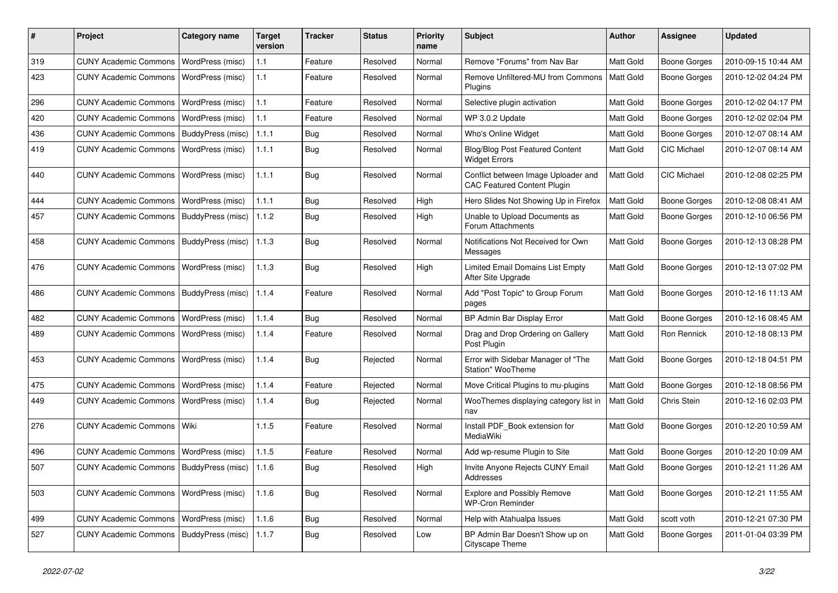| #   | Project                                   | Category name             | <b>Target</b><br>version | <b>Tracker</b> | <b>Status</b> | <b>Priority</b><br>name | Subject                                                                   | <b>Author</b>    | Assignee            | <b>Updated</b>      |
|-----|-------------------------------------------|---------------------------|--------------------------|----------------|---------------|-------------------------|---------------------------------------------------------------------------|------------------|---------------------|---------------------|
| 319 | <b>CUNY Academic Commons</b>              | WordPress (misc)          | $1.1$                    | Feature        | Resolved      | Normal                  | Remove "Forums" from Nav Bar                                              | Matt Gold        | <b>Boone Gorges</b> | 2010-09-15 10:44 AM |
| 423 | <b>CUNY Academic Commons</b>              | WordPress (misc)          | 1.1                      | Feature        | Resolved      | Normal                  | Remove Unfiltered-MU from Commons<br>Plugins                              | Matt Gold        | <b>Boone Gorges</b> | 2010-12-02 04:24 PM |
| 296 | <b>CUNY Academic Commons</b>              | WordPress (misc)          | $1.1$                    | Feature        | Resolved      | Normal                  | Selective plugin activation                                               | Matt Gold        | <b>Boone Gorges</b> | 2010-12-02 04:17 PM |
| 420 | <b>CUNY Academic Commons</b>              | WordPress (misc)          | $1.1$                    | Feature        | Resolved      | Normal                  | WP 3.0.2 Update                                                           | Matt Gold        | <b>Boone Gorges</b> | 2010-12-02 02:04 PM |
| 436 | <b>CUNY Academic Commons</b>              | BuddyPress (misc)         | 1.1.1                    | <b>Bug</b>     | Resolved      | Normal                  | Who's Online Widget                                                       | Matt Gold        | <b>Boone Gorges</b> | 2010-12-07 08:14 AM |
| 419 | <b>CUNY Academic Commons</b>              | WordPress (misc)          | 1.1.1                    | Bug            | Resolved      | Normal                  | <b>Blog/Blog Post Featured Content</b><br><b>Widget Errors</b>            | Matt Gold        | <b>CIC Michael</b>  | 2010-12-07 08:14 AM |
| 440 | <b>CUNY Academic Commons</b>              | WordPress (misc)          | 1.1.1                    | <b>Bug</b>     | Resolved      | Normal                  | Conflict between Image Uploader and<br><b>CAC Featured Content Plugin</b> | Matt Gold        | CIC Michael         | 2010-12-08 02:25 PM |
| 444 | <b>CUNY Academic Commons</b>              | WordPress (misc)          | 1.1.1                    | <b>Bug</b>     | Resolved      | High                    | Hero Slides Not Showing Up in Firefox                                     | Matt Gold        | <b>Boone Gorges</b> | 2010-12-08 08:41 AM |
| 457 | <b>CUNY Academic Commons</b>              | BuddyPress (misc)         | 1.1.2                    | <b>Bug</b>     | Resolved      | High                    | Unable to Upload Documents as<br>Forum Attachments                        | Matt Gold        | Boone Gorges        | 2010-12-10 06:56 PM |
| 458 | <b>CUNY Academic Commons</b>              | BuddyPress (misc)         | 1.1.3                    | <b>Bug</b>     | Resolved      | Normal                  | Notifications Not Received for Own<br>Messages                            | Matt Gold        | Boone Gorges        | 2010-12-13 08:28 PM |
| 476 | <b>CUNY Academic Commons</b>              | WordPress (misc)          | 1.1.3                    | Bug            | Resolved      | High                    | <b>Limited Email Domains List Empty</b><br>After Site Upgrade             | Matt Gold        | <b>Boone Gorges</b> | 2010-12-13 07:02 PM |
| 486 | <b>CUNY Academic Commons</b>              | BuddyPress (misc)         | 1.1.4                    | Feature        | Resolved      | Normal                  | Add "Post Topic" to Group Forum<br>pages                                  | Matt Gold        | <b>Boone Gorges</b> | 2010-12-16 11:13 AM |
| 482 | <b>CUNY Academic Commons</b>              | WordPress (misc)          | 1.1.4                    | Bug            | Resolved      | Normal                  | BP Admin Bar Display Error                                                | Matt Gold        | <b>Boone Gorges</b> | 2010-12-16 08:45 AM |
| 489 | <b>CUNY Academic Commons</b>              | WordPress (misc)          | 1.1.4                    | Feature        | Resolved      | Normal                  | Drag and Drop Ordering on Gallery<br>Post Plugin                          | Matt Gold        | Ron Rennick         | 2010-12-18 08:13 PM |
| 453 | <b>CUNY Academic Commons</b>              | WordPress (misc)          | 1.1.4                    | Bug            | Rejected      | Normal                  | Error with Sidebar Manager of "The<br>Station" WooTheme                   | Matt Gold        | Boone Gorges        | 2010-12-18 04:51 PM |
| 475 | <b>CUNY Academic Commons</b>              | WordPress (misc)          | 1.1.4                    | Feature        | Rejected      | Normal                  | Move Critical Plugins to mu-plugins                                       | Matt Gold        | <b>Boone Gorges</b> | 2010-12-18 08:56 PM |
| 449 | <b>CUNY Academic Commons</b>              | WordPress (misc)          | 1.1.4                    | <b>Bug</b>     | Rejected      | Normal                  | WooThemes displaying category list in<br>nav                              | Matt Gold        | Chris Stein         | 2010-12-16 02:03 PM |
| 276 | <b>CUNY Academic Commons</b>              | Wiki                      | 1.1.5                    | Feature        | Resolved      | Normal                  | Install PDF Book extension for<br>MediaWiki                               | <b>Matt Gold</b> | Boone Gorges        | 2010-12-20 10:59 AM |
| 496 | <b>CUNY Academic Commons</b>              | WordPress (misc)          | 1.1.5                    | Feature        | Resolved      | Normal                  | Add wp-resume Plugin to Site                                              | Matt Gold        | <b>Boone Gorges</b> | 2010-12-20 10:09 AM |
| 507 | CUNY Academic Commons   BuddyPress (misc) |                           | 1.1.6                    | <b>Bug</b>     | Resolved      | High                    | Invite Anyone Rejects CUNY Email<br>Addresses                             | Matt Gold        | <b>Boone Gorges</b> | 2010-12-21 11:26 AM |
| 503 | <b>CUNY Academic Commons</b>              | WordPress (misc)          | 1.1.6                    | <b>Bug</b>     | Resolved      | Normal                  | <b>Explore and Possibly Remove</b><br><b>WP-Cron Reminder</b>             | Matt Gold        | <b>Boone Gorges</b> | 2010-12-21 11:55 AM |
| 499 | <b>CUNY Academic Commons</b>              | WordPress (misc)          | 1.1.6                    | Bug            | Resolved      | Normal                  | Help with Atahualpa Issues                                                | Matt Gold        | scott voth          | 2010-12-21 07:30 PM |
| 527 | <b>CUNY Academic Commons</b>              | BuddyPress (misc)   1.1.7 |                          | Bug            | Resolved      | Low                     | BP Admin Bar Doesn't Show up on<br>Cityscape Theme                        | Matt Gold        | Boone Gorges        | 2011-01-04 03:39 PM |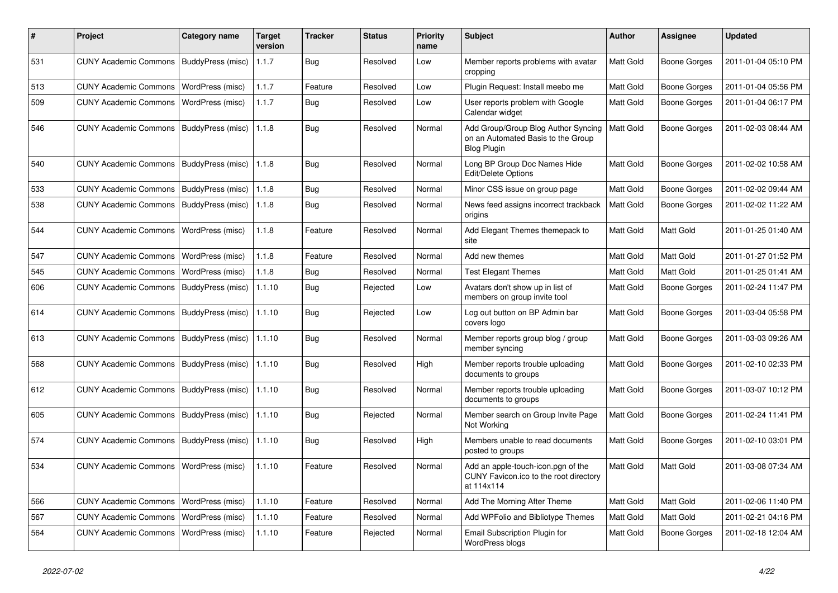| $\pmb{\#}$ | Project                                  | <b>Category name</b>     | <b>Target</b><br>version | <b>Tracker</b> | <b>Status</b> | <b>Priority</b><br>name | Subject                                                                                         | Author           | Assignee            | <b>Updated</b>      |
|------------|------------------------------------------|--------------------------|--------------------------|----------------|---------------|-------------------------|-------------------------------------------------------------------------------------------------|------------------|---------------------|---------------------|
| 531        | <b>CUNY Academic Commons</b>             | BuddyPress (misc)        | 1.1.7                    | <b>Bug</b>     | Resolved      | Low                     | Member reports problems with avatar<br>cropping                                                 | Matt Gold        | <b>Boone Gorges</b> | 2011-01-04 05:10 PM |
| 513        | <b>CUNY Academic Commons</b>             | <b>WordPress (misc)</b>  | 1.1.7                    | Feature        | Resolved      | Low                     | Plugin Request: Install meebo me                                                                | Matt Gold        | <b>Boone Gorges</b> | 2011-01-04 05:56 PM |
| 509        | <b>CUNY Academic Commons</b>             | <b>WordPress (misc)</b>  | 1.1.7                    | Bug            | Resolved      | Low                     | User reports problem with Google<br>Calendar widget                                             | Matt Gold        | Boone Gorges        | 2011-01-04 06:17 PM |
| 546        | <b>CUNY Academic Commons</b>             | BuddyPress (misc)        | 1.1.8                    | <b>Bug</b>     | Resolved      | Normal                  | Add Group/Group Blog Author Syncing<br>on an Automated Basis to the Group<br><b>Blog Plugin</b> | Matt Gold        | <b>Boone Gorges</b> | 2011-02-03 08:44 AM |
| 540        | <b>CUNY Academic Commons</b>             | <b>BuddyPress (misc)</b> | 1.1.8                    | Bug            | Resolved      | Normal                  | Long BP Group Doc Names Hide<br>Edit/Delete Options                                             | <b>Matt Gold</b> | <b>Boone Gorges</b> | 2011-02-02 10:58 AM |
| 533        | <b>CUNY Academic Commons</b>             | BuddyPress (misc)        | 1.1.8                    | <b>Bug</b>     | Resolved      | Normal                  | Minor CSS issue on group page                                                                   | Matt Gold        | Boone Gorges        | 2011-02-02 09:44 AM |
| 538        | <b>CUNY Academic Commons</b>             | BuddyPress (misc)        | 1.1.8                    | Bug            | Resolved      | Normal                  | News feed assigns incorrect trackback<br>origins                                                | Matt Gold        | Boone Gorges        | 2011-02-02 11:22 AM |
| 544        | <b>CUNY Academic Commons</b>             | WordPress (misc)         | 1.1.8                    | Feature        | Resolved      | Normal                  | Add Elegant Themes themepack to<br>site                                                         | <b>Matt Gold</b> | Matt Gold           | 2011-01-25 01:40 AM |
| 547        | <b>CUNY Academic Commons</b>             | WordPress (misc)         | 1.1.8                    | Feature        | Resolved      | Normal                  | Add new themes                                                                                  | Matt Gold        | Matt Gold           | 2011-01-27 01:52 PM |
| 545        | <b>CUNY Academic Commons</b>             | WordPress (misc)         | 1.1.8                    | Bug            | Resolved      | Normal                  | <b>Test Elegant Themes</b>                                                                      | Matt Gold        | Matt Gold           | 2011-01-25 01:41 AM |
| 606        | <b>CUNY Academic Commons</b>             | BuddyPress (misc)        | 1.1.10                   | Bug            | Rejected      | Low                     | Avatars don't show up in list of<br>members on group invite tool                                | Matt Gold        | Boone Gorges        | 2011-02-24 11:47 PM |
| 614        | <b>CUNY Academic Commons</b>             | <b>BuddyPress (misc)</b> | 1.1.10                   | <b>Bug</b>     | Rejected      | Low                     | Log out button on BP Admin bar<br>covers logo                                                   | Matt Gold        | <b>Boone Gorges</b> | 2011-03-04 05:58 PM |
| 613        | <b>CUNY Academic Commons</b>             | BuddyPress (misc)        | 1.1.10                   | Bug            | Resolved      | Normal                  | Member reports group blog / group<br>member syncing                                             | Matt Gold        | Boone Gorges        | 2011-03-03 09:26 AM |
| 568        | <b>CUNY Academic Commons</b>             | BuddyPress (misc)        | 1.1.10                   | <b>Bug</b>     | Resolved      | High                    | Member reports trouble uploading<br>documents to groups                                         | Matt Gold        | <b>Boone Gorges</b> | 2011-02-10 02:33 PM |
| 612        | <b>CUNY Academic Commons</b>             | BuddyPress (misc)        | 1.1.10                   | <b>Bug</b>     | Resolved      | Normal                  | Member reports trouble uploading<br>documents to groups                                         | Matt Gold        | <b>Boone Gorges</b> | 2011-03-07 10:12 PM |
| 605        | <b>CUNY Academic Commons</b>             | BuddyPress (misc)        | 1.1.10                   | Bug            | Rejected      | Normal                  | Member search on Group Invite Page<br>Not Working                                               | Matt Gold        | <b>Boone Gorges</b> | 2011-02-24 11:41 PM |
| 574        | <b>CUNY Academic Commons</b>             | BuddyPress (misc)        | 1.1.10                   | <b>Bug</b>     | Resolved      | High                    | Members unable to read documents<br>posted to groups                                            | Matt Gold        | Boone Gorges        | 2011-02-10 03:01 PM |
| 534        | CUNY Academic Commons   WordPress (misc) |                          | 1.1.10                   | Feature        | Resolved      | Normal                  | Add an apple-touch-icon.pgn of the<br>CUNY Favicon.ico to the root directory<br>at 114x114      | <b>Matt Gold</b> | Matt Gold           | 2011-03-08 07:34 AM |
| 566        | <b>CUNY Academic Commons</b>             | WordPress (misc)         | 1.1.10                   | Feature        | Resolved      | Normal                  | Add The Morning After Theme                                                                     | Matt Gold        | Matt Gold           | 2011-02-06 11:40 PM |
| 567        | <b>CUNY Academic Commons</b>             | WordPress (misc)         | 1.1.10                   | Feature        | Resolved      | Normal                  | Add WPFolio and Bibliotype Themes                                                               | Matt Gold        | Matt Gold           | 2011-02-21 04:16 PM |
| 564        | <b>CUNY Academic Commons</b>             | WordPress (misc)         | 1.1.10                   | Feature        | Rejected      | Normal                  | Email Subscription Plugin for<br>WordPress blogs                                                | Matt Gold        | Boone Gorges        | 2011-02-18 12:04 AM |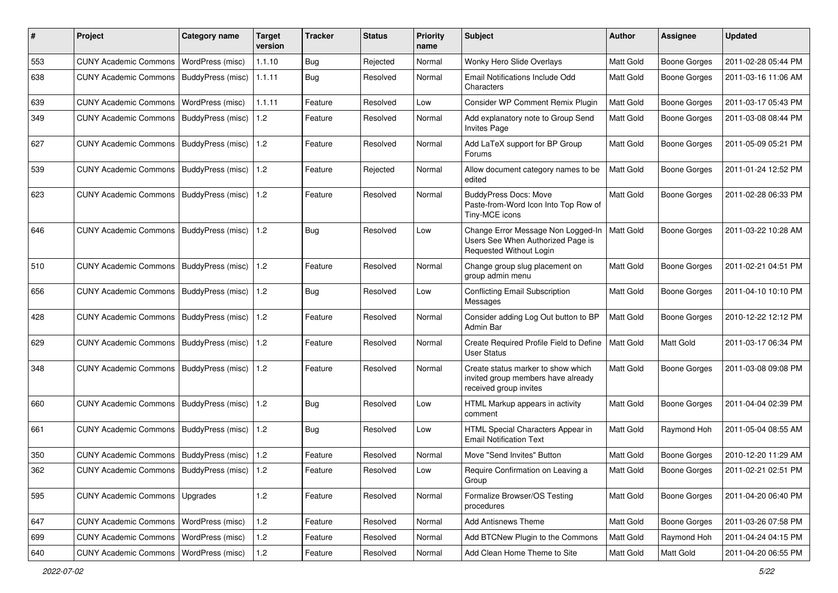| #   | Project                                         | <b>Category name</b>     | Target<br>version | <b>Tracker</b> | <b>Status</b> | <b>Priority</b><br>name | <b>Subject</b>                                                                                     | Author    | Assignee            | <b>Updated</b>      |
|-----|-------------------------------------------------|--------------------------|-------------------|----------------|---------------|-------------------------|----------------------------------------------------------------------------------------------------|-----------|---------------------|---------------------|
| 553 | <b>CUNY Academic Commons</b>                    | WordPress (misc)         | 1.1.10            | Bug            | Rejected      | Normal                  | Wonky Hero Slide Overlays                                                                          | Matt Gold | <b>Boone Gorges</b> | 2011-02-28 05:44 PM |
| 638 | <b>CUNY Academic Commons</b>                    | BuddyPress (misc)        | 1.1.11            | Bug            | Resolved      | Normal                  | Email Notifications Include Odd<br>Characters                                                      | Matt Gold | <b>Boone Gorges</b> | 2011-03-16 11:06 AM |
| 639 | <b>CUNY Academic Commons</b>                    | WordPress (misc)         | 1.1.11            | Feature        | Resolved      | Low                     | Consider WP Comment Remix Plugin                                                                   | Matt Gold | <b>Boone Gorges</b> | 2011-03-17 05:43 PM |
| 349 | <b>CUNY Academic Commons</b>                    | BuddyPress (misc)        | 1.2               | Feature        | Resolved      | Normal                  | Add explanatory note to Group Send<br><b>Invites Page</b>                                          | Matt Gold | <b>Boone Gorges</b> | 2011-03-08 08:44 PM |
| 627 | CUNY Academic Commons   BuddyPress (misc)       |                          | 1.2               | Feature        | Resolved      | Normal                  | Add LaTeX support for BP Group<br><b>Forums</b>                                                    | Matt Gold | <b>Boone Gorges</b> | 2011-05-09 05:21 PM |
| 539 | <b>CUNY Academic Commons</b>                    | <b>BuddyPress (misc)</b> | 1.2               | Feature        | Rejected      | Normal                  | Allow document category names to be<br>edited                                                      | Matt Gold | <b>Boone Gorges</b> | 2011-01-24 12:52 PM |
| 623 | <b>CUNY Academic Commons</b>                    | <b>BuddyPress (misc)</b> | 1.2               | Feature        | Resolved      | Normal                  | <b>BuddyPress Docs: Move</b><br>Paste-from-Word Icon Into Top Row of<br>Tiny-MCE icons             | Matt Gold | <b>Boone Gorges</b> | 2011-02-28 06:33 PM |
| 646 | <b>CUNY Academic Commons</b>                    | BuddyPress (misc)        | 1.2               | Bug            | Resolved      | Low                     | Change Error Message Non Logged-In<br>Users See When Authorized Page is<br>Requested Without Login | Matt Gold | <b>Boone Gorges</b> | 2011-03-22 10:28 AM |
| 510 | <b>CUNY Academic Commons</b>                    | BuddyPress (misc)        | 1.2               | Feature        | Resolved      | Normal                  | Change group slug placement on<br>group admin menu                                                 | Matt Gold | <b>Boone Gorges</b> | 2011-02-21 04:51 PM |
| 656 | <b>CUNY Academic Commons</b>                    | <b>BuddyPress (misc)</b> | 1.2               | Bug            | Resolved      | Low                     | <b>Conflicting Email Subscription</b><br>Messages                                                  | Matt Gold | <b>Boone Gorges</b> | 2011-04-10 10:10 PM |
| 428 | <b>CUNY Academic Commons</b>                    | BuddyPress (misc)        | 1.2               | Feature        | Resolved      | Normal                  | Consider adding Log Out button to BP<br>Admin Bar                                                  | Matt Gold | Boone Gorges        | 2010-12-22 12:12 PM |
| 629 | CUNY Academic Commons   BuddyPress (misc)       |                          | 1.2               | Feature        | Resolved      | Normal                  | Create Required Profile Field to Define<br><b>User Status</b>                                      | Matt Gold | <b>Matt Gold</b>    | 2011-03-17 06:34 PM |
| 348 | CUNY Academic Commons   BuddyPress (misc)       |                          | 1.2               | Feature        | Resolved      | Normal                  | Create status marker to show which<br>invited group members have already<br>received group invites | Matt Gold | <b>Boone Gorges</b> | 2011-03-08 09:08 PM |
| 660 | <b>CUNY Academic Commons</b>                    | BuddyPress (misc)        | 1.2               | Bug            | Resolved      | Low                     | HTML Markup appears in activity<br>comment                                                         | Matt Gold | <b>Boone Gorges</b> | 2011-04-04 02:39 PM |
| 661 | CUNY Academic Commons                           | BuddyPress (misc)        | 1.2               | Bug            | Resolved      | Low                     | HTML Special Characters Appear in<br><b>Email Notification Text</b>                                | Matt Gold | Raymond Hoh         | 2011-05-04 08:55 AM |
| 350 | CUNY Academic Commons   BuddyPress (misc)       |                          | 1.2               | Feature        | Resolved      | Normal                  | Move "Send Invites" Button                                                                         | Matt Gold | <b>Boone Gorges</b> | 2010-12-20 11:29 AM |
| 362 | CUNY Academic Commons   BuddyPress (misc)   1.2 |                          |                   | Feature        | Resolved      | Low                     | Require Confirmation on Leaving a<br>Group                                                         | Matt Gold | <b>Boone Gorges</b> | 2011-02-21 02:51 PM |
| 595 | <b>CUNY Academic Commons</b>                    | Upgrades                 | 1.2               | Feature        | Resolved      | Normal                  | Formalize Browser/OS Testing<br>procedures                                                         | Matt Gold | <b>Boone Gorges</b> | 2011-04-20 06:40 PM |
| 647 | <b>CUNY Academic Commons</b>                    | WordPress (misc)         | 1.2               | Feature        | Resolved      | Normal                  | Add Antisnews Theme                                                                                | Matt Gold | Boone Gorges        | 2011-03-26 07:58 PM |
| 699 | <b>CUNY Academic Commons</b>                    | WordPress (misc)         | 1.2               | Feature        | Resolved      | Normal                  | Add BTCNew Plugin to the Commons                                                                   | Matt Gold | Raymond Hoh         | 2011-04-24 04:15 PM |
| 640 | <b>CUNY Academic Commons</b>                    | WordPress (misc)         | $1.2\,$           | Feature        | Resolved      | Normal                  | Add Clean Home Theme to Site                                                                       | Matt Gold | Matt Gold           | 2011-04-20 06:55 PM |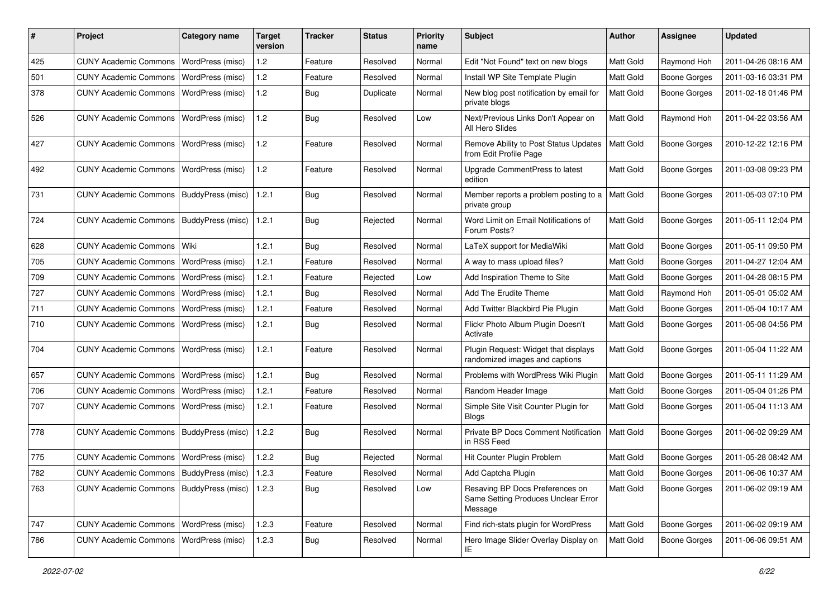| #   | Project                                           | <b>Category name</b>    | <b>Target</b><br>version | <b>Tracker</b> | <b>Status</b> | <b>Priority</b><br>name | <b>Subject</b>                                                                    | <b>Author</b>    | Assignee            | <b>Updated</b>      |
|-----|---------------------------------------------------|-------------------------|--------------------------|----------------|---------------|-------------------------|-----------------------------------------------------------------------------------|------------------|---------------------|---------------------|
| 425 | <b>CUNY Academic Commons</b>                      | WordPress (misc)        | 1.2                      | Feature        | Resolved      | Normal                  | Edit "Not Found" text on new blogs                                                | Matt Gold        | Raymond Hoh         | 2011-04-26 08:16 AM |
| 501 | <b>CUNY Academic Commons</b>                      | WordPress (misc)        | 1.2                      | Feature        | Resolved      | Normal                  | Install WP Site Template Plugin                                                   | Matt Gold        | <b>Boone Gorges</b> | 2011-03-16 03:31 PM |
| 378 | <b>CUNY Academic Commons</b>                      | WordPress (misc)        | 1.2                      | Bug            | Duplicate     | Normal                  | New blog post notification by email for<br>private blogs                          | Matt Gold        | <b>Boone Gorges</b> | 2011-02-18 01:46 PM |
| 526 | <b>CUNY Academic Commons</b>                      | <b>WordPress (misc)</b> | 1.2                      | Bug            | Resolved      | Low                     | Next/Previous Links Don't Appear on<br>All Hero Slides                            | Matt Gold        | Raymond Hoh         | 2011-04-22 03:56 AM |
| 427 | CUNY Academic Commons   WordPress (misc)          |                         | 1.2                      | Feature        | Resolved      | Normal                  | Remove Ability to Post Status Updates<br>from Edit Profile Page                   | <b>Matt Gold</b> | <b>Boone Gorges</b> | 2010-12-22 12:16 PM |
| 492 | <b>CUNY Academic Commons</b>                      | WordPress (misc)        | 1.2                      | Feature        | Resolved      | Normal                  | Upgrade CommentPress to latest<br>edition                                         | Matt Gold        | <b>Boone Gorges</b> | 2011-03-08 09:23 PM |
| 731 | <b>CUNY Academic Commons</b>                      | BuddyPress (misc)       | 1.2.1                    | Bug            | Resolved      | Normal                  | Member reports a problem posting to a<br>private group                            | Matt Gold        | <b>Boone Gorges</b> | 2011-05-03 07:10 PM |
| 724 | <b>CUNY Academic Commons</b>                      | BuddyPress (misc)       | 1.2.1                    | <b>Bug</b>     | Rejected      | Normal                  | Word Limit on Email Notifications of<br>Forum Posts?                              | Matt Gold        | <b>Boone Gorges</b> | 2011-05-11 12:04 PM |
| 628 | <b>CUNY Academic Commons</b>                      | Wiki                    | 1.2.1                    | Bug            | Resolved      | Normal                  | LaTeX support for MediaWiki                                                       | Matt Gold        | <b>Boone Gorges</b> | 2011-05-11 09:50 PM |
| 705 | <b>CUNY Academic Commons</b>                      | WordPress (misc)        | 1.2.1                    | Feature        | Resolved      | Normal                  | A way to mass upload files?                                                       | Matt Gold        | <b>Boone Gorges</b> | 2011-04-27 12:04 AM |
| 709 | <b>CUNY Academic Commons</b>                      | <b>WordPress (misc)</b> | 1.2.1                    | Feature        | Rejected      | Low                     | Add Inspiration Theme to Site                                                     | Matt Gold        | Boone Gorges        | 2011-04-28 08:15 PM |
| 727 | <b>CUNY Academic Commons</b>                      | WordPress (misc)        | 1.2.1                    | Bug            | Resolved      | Normal                  | Add The Erudite Theme                                                             | Matt Gold        | Raymond Hoh         | 2011-05-01 05:02 AM |
| 711 | <b>CUNY Academic Commons</b>                      | WordPress (misc)        | 1.2.1                    | Feature        | Resolved      | Normal                  | Add Twitter Blackbird Pie Plugin                                                  | Matt Gold        | <b>Boone Gorges</b> | 2011-05-04 10:17 AM |
| 710 | <b>CUNY Academic Commons</b>                      | <b>WordPress (misc)</b> | 1.2.1                    | Bug            | Resolved      | Normal                  | Flickr Photo Album Plugin Doesn't<br>Activate                                     | Matt Gold        | <b>Boone Gorges</b> | 2011-05-08 04:56 PM |
| 704 | <b>CUNY Academic Commons</b>                      | WordPress (misc)        | 1.2.1                    | Feature        | Resolved      | Normal                  | Plugin Request: Widget that displays<br>randomized images and captions            | Matt Gold        | <b>Boone Gorges</b> | 2011-05-04 11:22 AM |
| 657 | <b>CUNY Academic Commons</b>                      | WordPress (misc)        | 1.2.1                    | Bug            | Resolved      | Normal                  | Problems with WordPress Wiki Plugin                                               | Matt Gold        | <b>Boone Gorges</b> | 2011-05-11 11:29 AM |
| 706 | <b>CUNY Academic Commons</b>                      | WordPress (misc)        | 1.2.1                    | Feature        | Resolved      | Normal                  | Random Header Image                                                               | Matt Gold        | <b>Boone Gorges</b> | 2011-05-04 01:26 PM |
| 707 | <b>CUNY Academic Commons</b>                      | WordPress (misc)        | 1.2.1                    | Feature        | Resolved      | Normal                  | Simple Site Visit Counter Plugin for<br>Blogs                                     | Matt Gold        | <b>Boone Gorges</b> | 2011-05-04 11:13 AM |
| 778 | <b>CUNY Academic Commons</b>                      | BuddyPress (misc)       | 1.2.2                    | Bug            | Resolved      | Normal                  | Private BP Docs Comment Notification<br>in RSS Feed                               | Matt Gold        | <b>Boone Gorges</b> | 2011-06-02 09:29 AM |
| 775 | <b>CUNY Academic Commons</b>                      | WordPress (misc)        | 1.2.2                    | <b>Bug</b>     | Rejected      | Normal                  | Hit Counter Plugin Problem                                                        | Matt Gold        | <b>Boone Gorges</b> | 2011-05-28 08:42 AM |
| 782 | CUNY Academic Commons   BuddyPress (misc)   1.2.3 |                         |                          | Feature        | Resolved      | Normal                  | Add Captcha Plugin                                                                | Matt Gold        | Boone Gorges        | 2011-06-06 10:37 AM |
| 763 | CUNY Academic Commons   BuddyPress (misc)   1.2.3 |                         |                          | Bug            | Resolved      | Low                     | Resaving BP Docs Preferences on<br>Same Setting Produces Unclear Error<br>Message | Matt Gold        | <b>Boone Gorges</b> | 2011-06-02 09:19 AM |
| 747 | <b>CUNY Academic Commons</b>                      | WordPress (misc)        | 1.2.3                    | Feature        | Resolved      | Normal                  | Find rich-stats plugin for WordPress                                              | Matt Gold        | <b>Boone Gorges</b> | 2011-06-02 09:19 AM |
| 786 | CUNY Academic Commons   WordPress (misc)          |                         | 1.2.3                    | <b>Bug</b>     | Resolved      | Normal                  | Hero Image Slider Overlay Display on<br>IE.                                       | Matt Gold        | Boone Gorges        | 2011-06-06 09:51 AM |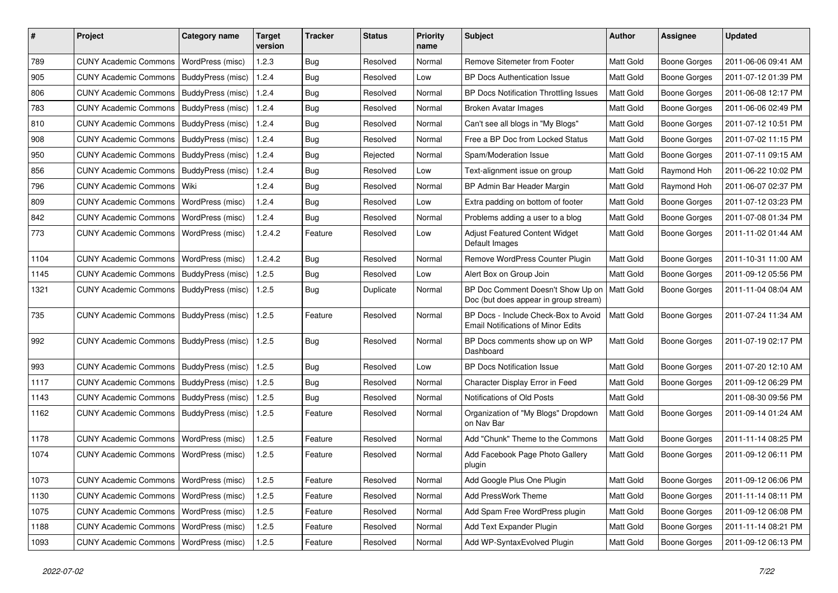| ∦    | Project                                   | <b>Category name</b>    | <b>Target</b><br>version | <b>Tracker</b> | <b>Status</b> | <b>Priority</b><br>name | <b>Subject</b>                                                                    | Author    | <b>Assignee</b>     | <b>Updated</b>      |
|------|-------------------------------------------|-------------------------|--------------------------|----------------|---------------|-------------------------|-----------------------------------------------------------------------------------|-----------|---------------------|---------------------|
| 789  | <b>CUNY Academic Commons</b>              | WordPress (misc)        | 1.2.3                    | Bug            | Resolved      | Normal                  | <b>Remove Sitemeter from Footer</b>                                               | Matt Gold | <b>Boone Gorges</b> | 2011-06-06 09:41 AM |
| 905  | <b>CUNY Academic Commons</b>              | BuddyPress (misc)       | 1.2.4                    | Bug            | Resolved      | Low                     | <b>BP Docs Authentication Issue</b>                                               | Matt Gold | <b>Boone Gorges</b> | 2011-07-12 01:39 PM |
| 806  | <b>CUNY Academic Commons</b>              | BuddyPress (misc)       | 1.2.4                    | <b>Bug</b>     | Resolved      | Normal                  | BP Docs Notification Throttling Issues                                            | Matt Gold | <b>Boone Gorges</b> | 2011-06-08 12:17 PM |
| 783  | <b>CUNY Academic Commons</b>              | BuddyPress (misc)       | 1.2.4                    | Bug            | Resolved      | Normal                  | <b>Broken Avatar Images</b>                                                       | Matt Gold | <b>Boone Gorges</b> | 2011-06-06 02:49 PM |
| 810  | <b>CUNY Academic Commons</b>              | BuddyPress (misc)       | 1.2.4                    | Bug            | Resolved      | Normal                  | Can't see all blogs in "My Blogs"                                                 | Matt Gold | <b>Boone Gorges</b> | 2011-07-12 10:51 PM |
| 908  | CUNY Academic Commons   BuddyPress (misc) |                         | 1.2.4                    | Bug            | Resolved      | Normal                  | Free a BP Doc from Locked Status                                                  | Matt Gold | <b>Boone Gorges</b> | 2011-07-02 11:15 PM |
| 950  | <b>CUNY Academic Commons</b>              | BuddyPress (misc)       | 1.2.4                    | Bug            | Rejected      | Normal                  | Spam/Moderation Issue                                                             | Matt Gold | Boone Gorges        | 2011-07-11 09:15 AM |
| 856  | <b>CUNY Academic Commons</b>              | BuddyPress (misc)       | 1.2.4                    | Bug            | Resolved      | Low                     | Text-alignment issue on group                                                     | Matt Gold | Raymond Hoh         | 2011-06-22 10:02 PM |
| 796  | <b>CUNY Academic Commons</b>              | l Wiki                  | 1.2.4                    | Bug            | Resolved      | Normal                  | BP Admin Bar Header Margin                                                        | Matt Gold | Raymond Hoh         | 2011-06-07 02:37 PM |
| 809  | <b>CUNY Academic Commons</b>              | <b>WordPress (misc)</b> | 1.2.4                    | Bug            | Resolved      | Low                     | Extra padding on bottom of footer                                                 | Matt Gold | <b>Boone Gorges</b> | 2011-07-12 03:23 PM |
| 842  | <b>CUNY Academic Commons</b>              | WordPress (misc)        | 1.2.4                    | <b>Bug</b>     | Resolved      | Normal                  | Problems adding a user to a blog                                                  | Matt Gold | <b>Boone Gorges</b> | 2011-07-08 01:34 PM |
| 773  | <b>CUNY Academic Commons</b>              | WordPress (misc)        | 1.2.4.2                  | Feature        | Resolved      | Low                     | <b>Adjust Featured Content Widget</b><br>Default Images                           | Matt Gold | <b>Boone Gorges</b> | 2011-11-02 01:44 AM |
| 1104 | <b>CUNY Academic Commons</b>              | WordPress (misc)        | 1.2.4.2                  | Bug            | Resolved      | Normal                  | Remove WordPress Counter Plugin                                                   | Matt Gold | <b>Boone Gorges</b> | 2011-10-31 11:00 AM |
| 1145 | <b>CUNY Academic Commons</b>              | BuddyPress (misc)       | 1.2.5                    | Bug            | Resolved      | Low                     | Alert Box on Group Join                                                           | Matt Gold | <b>Boone Gorges</b> | 2011-09-12 05:56 PM |
| 1321 | <b>CUNY Academic Commons</b>              | BuddyPress (misc)       | 1.2.5                    | <b>Bug</b>     | Duplicate     | Normal                  | BP Doc Comment Doesn't Show Up on<br>Doc (but does appear in group stream)        | Matt Gold | <b>Boone Gorges</b> | 2011-11-04 08:04 AM |
| 735  | <b>CUNY Academic Commons</b>              | BuddyPress (misc)       | 1.2.5                    | Feature        | Resolved      | Normal                  | BP Docs - Include Check-Box to Avoid<br><b>Email Notifications of Minor Edits</b> | Matt Gold | <b>Boone Gorges</b> | 2011-07-24 11:34 AM |
| 992  | CUNY Academic Commons   BuddyPress (misc) |                         | 1.2.5                    | Bug            | Resolved      | Normal                  | BP Docs comments show up on WP<br>Dashboard                                       | Matt Gold | <b>Boone Gorges</b> | 2011-07-19 02:17 PM |
| 993  | CUNY Academic Commons   BuddyPress (misc) |                         | 1.2.5                    | Bug            | Resolved      | Low                     | <b>BP Docs Notification Issue</b>                                                 | Matt Gold | <b>Boone Gorges</b> | 2011-07-20 12:10 AM |
| 1117 | CUNY Academic Commons   BuddyPress (misc) |                         | 1.2.5                    | Bug            | Resolved      | Normal                  | Character Display Error in Feed                                                   | Matt Gold | <b>Boone Gorges</b> | 2011-09-12 06:29 PM |
| 1143 | <b>CUNY Academic Commons</b>              | BuddyPress (misc)       | 1.2.5                    | Bug            | Resolved      | Normal                  | Notifications of Old Posts                                                        | Matt Gold |                     | 2011-08-30 09:56 PM |
| 1162 | <b>CUNY Academic Commons</b>              | BuddyPress (misc)       | 1.2.5                    | Feature        | Resolved      | Normal                  | Organization of "My Blogs" Dropdown<br>on Nav Bar                                 | Matt Gold | <b>Boone Gorges</b> | 2011-09-14 01:24 AM |
| 1178 | <b>CUNY Academic Commons</b>              | <b>WordPress (misc)</b> | 1.2.5                    | Feature        | Resolved      | Normal                  | Add "Chunk" Theme to the Commons                                                  | Matt Gold | <b>Boone Gorges</b> | 2011-11-14 08:25 PM |
| 1074 | <b>CUNY Academic Commons</b>              | WordPress (misc)        | 1.2.5                    | Feature        | Resolved      | Normal                  | Add Facebook Page Photo Gallery<br>plugin                                         | Matt Gold | <b>Boone Gorges</b> | 2011-09-12 06:11 PM |
| 1073 | CUNY Academic Commons   WordPress (misc)  |                         | 1.2.5                    | Feature        | Resolved      | Normal                  | Add Google Plus One Plugin                                                        | Matt Gold | <b>Boone Gorges</b> | 2011-09-12 06:06 PM |
| 1130 | <b>CUNY Academic Commons</b>              | WordPress (misc)        | 1.2.5                    | Feature        | Resolved      | Normal                  | Add PressWork Theme                                                               | Matt Gold | <b>Boone Gorges</b> | 2011-11-14 08:11 PM |
| 1075 | <b>CUNY Academic Commons</b>              | WordPress (misc)        | 1.2.5                    | Feature        | Resolved      | Normal                  | Add Spam Free WordPress plugin                                                    | Matt Gold | Boone Gorges        | 2011-09-12 06:08 PM |
| 1188 | <b>CUNY Academic Commons</b>              | WordPress (misc)        | 1.2.5                    | Feature        | Resolved      | Normal                  | Add Text Expander Plugin                                                          | Matt Gold | Boone Gorges        | 2011-11-14 08:21 PM |
| 1093 | <b>CUNY Academic Commons</b>              | WordPress (misc)        | 1.2.5                    | Feature        | Resolved      | Normal                  | Add WP-SyntaxEvolved Plugin                                                       | Matt Gold | <b>Boone Gorges</b> | 2011-09-12 06:13 PM |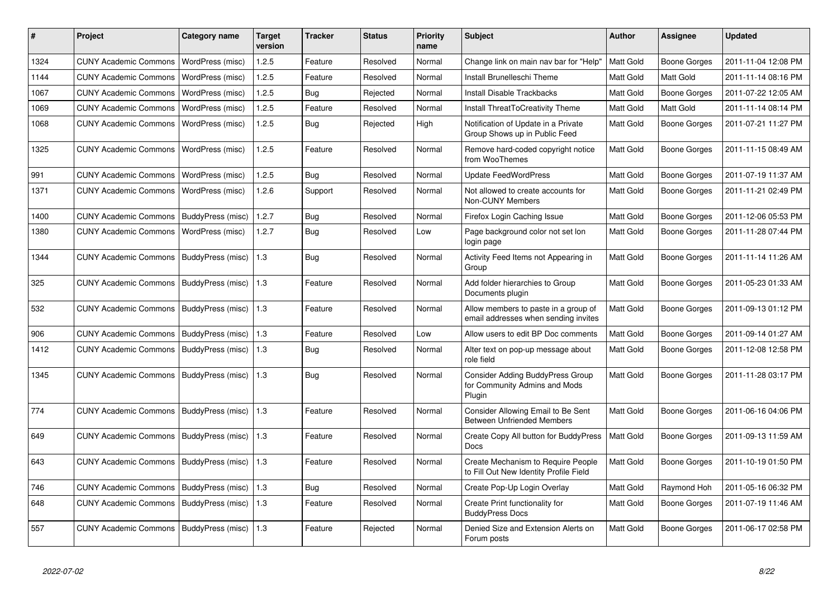| $\#$ | Project                                   | Category name            | <b>Target</b><br>version | <b>Tracker</b> | <b>Status</b> | <b>Priority</b><br>name | <b>Subject</b>                                                               | <b>Author</b>    | <b>Assignee</b>     | <b>Updated</b>      |
|------|-------------------------------------------|--------------------------|--------------------------|----------------|---------------|-------------------------|------------------------------------------------------------------------------|------------------|---------------------|---------------------|
| 1324 | <b>CUNY Academic Commons</b>              | WordPress (misc)         | 1.2.5                    | Feature        | Resolved      | Normal                  | Change link on main nav bar for "Help"                                       | Matt Gold        | Boone Gorges        | 2011-11-04 12:08 PM |
| 1144 | <b>CUNY Academic Commons</b>              | WordPress (misc)         | 1.2.5                    | Feature        | Resolved      | Normal                  | Install Brunelleschi Theme                                                   | Matt Gold        | Matt Gold           | 2011-11-14 08:16 PM |
| 1067 | <b>CUNY Academic Commons</b>              | WordPress (misc)         | 1.2.5                    | Bug            | Rejected      | Normal                  | <b>Install Disable Trackbacks</b>                                            | Matt Gold        | Boone Gorges        | 2011-07-22 12:05 AM |
| 1069 | <b>CUNY Academic Commons</b>              | WordPress (misc)         | 1.2.5                    | Feature        | Resolved      | Normal                  | Install ThreatToCreativity Theme                                             | <b>Matt Gold</b> | Matt Gold           | 2011-11-14 08:14 PM |
| 1068 | <b>CUNY Academic Commons</b>              | WordPress (misc)         | 1.2.5                    | Bug            | Rejected      | High                    | Notification of Update in a Private<br>Group Shows up in Public Feed         | <b>Matt Gold</b> | Boone Gorges        | 2011-07-21 11:27 PM |
| 1325 | <b>CUNY Academic Commons</b>              | WordPress (misc)         | 1.2.5                    | Feature        | Resolved      | Normal                  | Remove hard-coded copyright notice<br>from WooThemes                         | <b>Matt Gold</b> | Boone Gorges        | 2011-11-15 08:49 AM |
| 991  | <b>CUNY Academic Commons</b>              | WordPress (misc)         | 1.2.5                    | <b>Bug</b>     | Resolved      | Normal                  | Update FeedWordPress                                                         | <b>Matt Gold</b> | Boone Gorges        | 2011-07-19 11:37 AM |
| 1371 | <b>CUNY Academic Commons</b>              | WordPress (misc)         | 1.2.6                    | Support        | Resolved      | Normal                  | Not allowed to create accounts for<br>Non-CUNY Members                       | <b>Matt Gold</b> | Boone Gorges        | 2011-11-21 02:49 PM |
| 1400 | <b>CUNY Academic Commons</b>              | BuddyPress (misc)        | 1.2.7                    | Bug            | Resolved      | Normal                  | Firefox Login Caching Issue                                                  | Matt Gold        | Boone Gorges        | 2011-12-06 05:53 PM |
| 1380 | <b>CUNY Academic Commons</b>              | WordPress (misc)         | 1.2.7                    | Bug            | Resolved      | Low                     | Page background color not set lon<br>login page                              | Matt Gold        | Boone Gorges        | 2011-11-28 07:44 PM |
| 1344 | <b>CUNY Academic Commons</b>              | BuddyPress (misc)        | $\vert$ 1.3              | <b>Bug</b>     | Resolved      | Normal                  | Activity Feed Items not Appearing in<br>Group                                | Matt Gold        | Boone Gorges        | 2011-11-14 11:26 AM |
| 325  | CUNY Academic Commons   BuddyPress (misc) |                          | 1.3                      | Feature        | Resolved      | Normal                  | Add folder hierarchies to Group<br>Documents plugin                          | Matt Gold        | Boone Gorges        | 2011-05-23 01:33 AM |
| 532  | <b>CUNY Academic Commons</b>              | <b>BuddyPress (misc)</b> | $\vert$ 1.3              | Feature        | Resolved      | Normal                  | Allow members to paste in a group of<br>email addresses when sending invites | Matt Gold        | Boone Gorges        | 2011-09-13 01:12 PM |
| 906  | <b>CUNY Academic Commons</b>              | BuddyPress (misc)        | 1.3                      | Feature        | Resolved      | Low                     | Allow users to edit BP Doc comments                                          | Matt Gold        | Boone Gorges        | 2011-09-14 01:27 AM |
| 1412 | <b>CUNY Academic Commons</b>              | BuddyPress (misc)        | 1.3                      | <b>Bug</b>     | Resolved      | Normal                  | Alter text on pop-up message about<br>role field                             | Matt Gold        | Boone Gorges        | 2011-12-08 12:58 PM |
| 1345 | <b>CUNY Academic Commons</b>              | BuddyPress (misc)        | 1.3                      | Bug            | Resolved      | Normal                  | Consider Adding BuddyPress Group<br>for Community Admins and Mods<br>Plugin  | Matt Gold        | Boone Gorges        | 2011-11-28 03:17 PM |
| 774  | <b>CUNY Academic Commons</b>              | BuddyPress (misc)        | $\vert$ 1.3              | Feature        | Resolved      | Normal                  | Consider Allowing Email to Be Sent<br><b>Between Unfriended Members</b>      | <b>Matt Gold</b> | <b>Boone Gorges</b> | 2011-06-16 04:06 PM |
| 649  | CUNY Academic Commons                     | BuddyPress (misc)        | 1.3                      | Feature        | Resolved      | Normal                  | Create Copy All button for BuddyPress<br><b>Docs</b>                         | Matt Gold        | Boone Gorges        | 2011-09-13 11:59 AM |
| 643  | CUNY Academic Commons   BuddyPress (misc) |                          | $\vert$ 1.3              | Feature        | Resolved      | Normal                  | Create Mechanism to Require People<br>to Fill Out New Identity Profile Field | Matt Gold        | Boone Gorges        | 2011-10-19 01:50 PM |
| 746  | <b>CUNY Academic Commons</b>              | BuddyPress (misc)        | 1.3                      | Bug            | Resolved      | Normal                  | Create Pop-Up Login Overlay                                                  | Matt Gold        | Raymond Hoh         | 2011-05-16 06:32 PM |
| 648  | CUNY Academic Commons   BuddyPress (misc) |                          | 1.3                      | Feature        | Resolved      | Normal                  | Create Print functionality for<br><b>BuddyPress Docs</b>                     | Matt Gold        | Boone Gorges        | 2011-07-19 11:46 AM |
| 557  | <b>CUNY Academic Commons</b>              | BuddyPress (misc)        | 1.3                      | Feature        | Rejected      | Normal                  | Denied Size and Extension Alerts on<br>Forum posts                           | <b>Matt Gold</b> | Boone Gorges        | 2011-06-17 02:58 PM |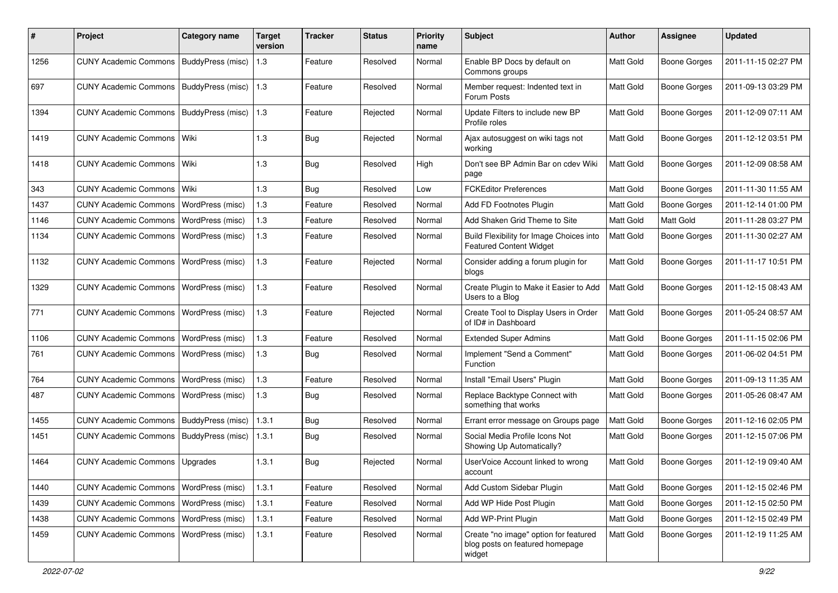| #    | Project                      | Category name            | <b>Target</b><br>version | Tracker    | <b>Status</b> | <b>Priority</b><br>name | Subject                                                                            | <b>Author</b>    | <b>Assignee</b>     | <b>Updated</b>      |
|------|------------------------------|--------------------------|--------------------------|------------|---------------|-------------------------|------------------------------------------------------------------------------------|------------------|---------------------|---------------------|
| 1256 | <b>CUNY Academic Commons</b> | BuddyPress (misc)        | 1.3                      | Feature    | Resolved      | Normal                  | Enable BP Docs by default on<br>Commons groups                                     | Matt Gold        | Boone Gorges        | 2011-11-15 02:27 PM |
| 697  | <b>CUNY Academic Commons</b> | BuddyPress (misc)        | 1.3                      | Feature    | Resolved      | Normal                  | Member request: Indented text in<br>Forum Posts                                    | Matt Gold        | <b>Boone Gorges</b> | 2011-09-13 03:29 PM |
| 1394 | <b>CUNY Academic Commons</b> | <b>BuddyPress (misc)</b> | 1.3                      | Feature    | Rejected      | Normal                  | Update Filters to include new BP<br>Profile roles                                  | Matt Gold        | Boone Gorges        | 2011-12-09 07:11 AM |
| 1419 | <b>CUNY Academic Commons</b> | l Wiki                   | 1.3                      | <b>Bug</b> | Rejected      | Normal                  | Ajax autosuggest on wiki tags not<br>working                                       | Matt Gold        | <b>Boone Gorges</b> | 2011-12-12 03:51 PM |
| 1418 | <b>CUNY Academic Commons</b> | l Wiki                   | 1.3                      | <b>Bug</b> | Resolved      | High                    | Don't see BP Admin Bar on cdev Wiki<br>page                                        | <b>Matt Gold</b> | Boone Gorges        | 2011-12-09 08:58 AM |
| 343  | <b>CUNY Academic Commons</b> | Wiki                     | 1.3                      | <b>Bug</b> | Resolved      | Low                     | <b>FCKEditor Preferences</b>                                                       | Matt Gold        | <b>Boone Gorges</b> | 2011-11-30 11:55 AM |
| 1437 | <b>CUNY Academic Commons</b> | WordPress (misc)         | 1.3                      | Feature    | Resolved      | Normal                  | Add FD Footnotes Plugin                                                            | Matt Gold        | <b>Boone Gorges</b> | 2011-12-14 01:00 PM |
| 1146 | <b>CUNY Academic Commons</b> | WordPress (misc)         | 1.3                      | Feature    | Resolved      | Normal                  | Add Shaken Grid Theme to Site                                                      | Matt Gold        | <b>Matt Gold</b>    | 2011-11-28 03:27 PM |
| 1134 | <b>CUNY Academic Commons</b> | WordPress (misc)         | 1.3                      | Feature    | Resolved      | Normal                  | Build Flexibility for Image Choices into<br><b>Featured Content Widget</b>         | Matt Gold        | <b>Boone Gorges</b> | 2011-11-30 02:27 AM |
| 1132 | <b>CUNY Academic Commons</b> | WordPress (misc)         | 1.3                      | Feature    | Rejected      | Normal                  | Consider adding a forum plugin for<br>blogs                                        | Matt Gold        | Boone Gorges        | 2011-11-17 10:51 PM |
| 1329 | <b>CUNY Academic Commons</b> | WordPress (misc)         | 1.3                      | Feature    | Resolved      | Normal                  | Create Plugin to Make it Easier to Add<br>Users to a Blog                          | Matt Gold        | <b>Boone Gorges</b> | 2011-12-15 08:43 AM |
| 771  | <b>CUNY Academic Commons</b> | WordPress (misc)         | 1.3                      | Feature    | Rejected      | Normal                  | Create Tool to Display Users in Order<br>of ID# in Dashboard                       | <b>Matt Gold</b> | Boone Gorges        | 2011-05-24 08:57 AM |
| 1106 | <b>CUNY Academic Commons</b> | WordPress (misc)         | 1.3                      | Feature    | Resolved      | Normal                  | <b>Extended Super Admins</b>                                                       | Matt Gold        | Boone Gorges        | 2011-11-15 02:06 PM |
| 761  | <b>CUNY Academic Commons</b> | <b>WordPress (misc)</b>  | 1.3                      | <b>Bug</b> | Resolved      | Normal                  | Implement "Send a Comment"<br>Function                                             | Matt Gold        | Boone Gorges        | 2011-06-02 04:51 PM |
| 764  | <b>CUNY Academic Commons</b> | <b>WordPress (misc)</b>  | 1.3                      | Feature    | Resolved      | Normal                  | Install "Email Users" Plugin                                                       | Matt Gold        | Boone Gorges        | 2011-09-13 11:35 AM |
| 487  | <b>CUNY Academic Commons</b> | WordPress (misc)         | 1.3                      | <b>Bug</b> | Resolved      | Normal                  | Replace Backtype Connect with<br>something that works                              | Matt Gold        | <b>Boone Gorges</b> | 2011-05-26 08:47 AM |
| 1455 | <b>CUNY Academic Commons</b> | BuddyPress (misc)        | 1.3.1                    | <b>Bug</b> | Resolved      | Normal                  | Errant error message on Groups page                                                | Matt Gold        | Boone Gorges        | 2011-12-16 02:05 PM |
| 1451 | <b>CUNY Academic Commons</b> | BuddyPress (misc)        | 1.3.1                    | <b>Bug</b> | Resolved      | Normal                  | Social Media Profile Icons Not<br>Showing Up Automatically?                        | Matt Gold        | Boone Gorges        | 2011-12-15 07:06 PM |
| 1464 | <b>CUNY Academic Commons</b> | <b>Upgrades</b>          | 1.3.1                    | <b>Bug</b> | Rejected      | Normal                  | UserVoice Account linked to wrong<br>account                                       | Matt Gold        | Boone Gorges        | 2011-12-19 09:40 AM |
| 1440 | <b>CUNY Academic Commons</b> | WordPress (misc)         | 1.3.1                    | Feature    | Resolved      | Normal                  | Add Custom Sidebar Plugin                                                          | Matt Gold        | Boone Gorges        | 2011-12-15 02:46 PM |
| 1439 | <b>CUNY Academic Commons</b> | <b>WordPress (misc)</b>  | 1.3.1                    | Feature    | Resolved      | Normal                  | Add WP Hide Post Plugin                                                            | Matt Gold        | Boone Gorges        | 2011-12-15 02:50 PM |
| 1438 | <b>CUNY Academic Commons</b> | <b>WordPress (misc)</b>  | 1.3.1                    | Feature    | Resolved      | Normal                  | Add WP-Print Plugin                                                                | Matt Gold        | Boone Gorges        | 2011-12-15 02:49 PM |
| 1459 | <b>CUNY Academic Commons</b> | WordPress (misc)         | 1.3.1                    | Feature    | Resolved      | Normal                  | Create "no image" option for featured<br>blog posts on featured homepage<br>widget | Matt Gold        | Boone Gorges        | 2011-12-19 11:25 AM |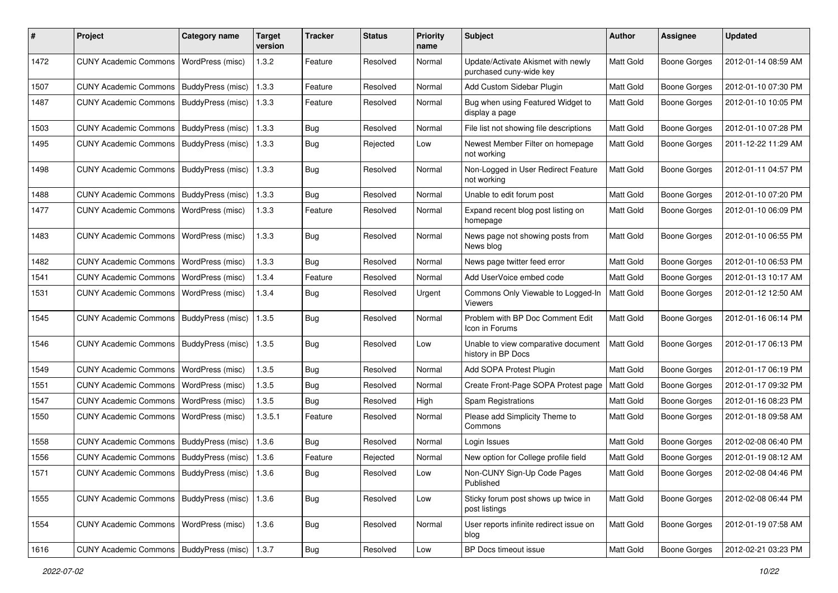| #    | Project                                           | <b>Category name</b> | <b>Target</b><br>version | <b>Tracker</b> | <b>Status</b> | Priority<br>name | Subject                                                       | Author           | Assignee            | <b>Updated</b>      |
|------|---------------------------------------------------|----------------------|--------------------------|----------------|---------------|------------------|---------------------------------------------------------------|------------------|---------------------|---------------------|
| 1472 | <b>CUNY Academic Commons</b>                      | WordPress (misc)     | 1.3.2                    | Feature        | Resolved      | Normal           | Update/Activate Akismet with newly<br>purchased cuny-wide key | Matt Gold        | <b>Boone Gorges</b> | 2012-01-14 08:59 AM |
| 1507 | <b>CUNY Academic Commons</b>                      | BuddyPress (misc)    | 1.3.3                    | Feature        | Resolved      | Normal           | Add Custom Sidebar Plugin                                     | Matt Gold        | <b>Boone Gorges</b> | 2012-01-10 07:30 PM |
| 1487 | <b>CUNY Academic Commons</b>                      | BuddyPress (misc)    | 1.3.3                    | Feature        | Resolved      | Normal           | Bug when using Featured Widget to<br>display a page           | Matt Gold        | Boone Gorges        | 2012-01-10 10:05 PM |
| 1503 | <b>CUNY Academic Commons</b>                      | BuddyPress (misc)    | 1.3.3                    | Bug            | Resolved      | Normal           | File list not showing file descriptions                       | Matt Gold        | <b>Boone Gorges</b> | 2012-01-10 07:28 PM |
| 1495 | <b>CUNY Academic Commons</b>                      | BuddyPress (misc)    | 1.3.3                    | Bug            | Rejected      | Low              | Newest Member Filter on homepage<br>not working               | Matt Gold        | Boone Gorges        | 2011-12-22 11:29 AM |
| 1498 | <b>CUNY Academic Commons</b>                      | BuddyPress (misc)    | 1.3.3                    | Bug            | Resolved      | Normal           | Non-Logged in User Redirect Feature<br>not working            | Matt Gold        | <b>Boone Gorges</b> | 2012-01-11 04:57 PM |
| 1488 | <b>CUNY Academic Commons</b>                      | BuddyPress (misc)    | 1.3.3                    | Bug            | Resolved      | Normal           | Unable to edit forum post                                     | Matt Gold        | <b>Boone Gorges</b> | 2012-01-10 07:20 PM |
| 1477 | <b>CUNY Academic Commons</b>                      | WordPress (misc)     | 1.3.3                    | Feature        | Resolved      | Normal           | Expand recent blog post listing on<br>homepage                | Matt Gold        | Boone Gorges        | 2012-01-10 06:09 PM |
| 1483 | <b>CUNY Academic Commons</b>                      | WordPress (misc)     | 1.3.3                    | Bug            | Resolved      | Normal           | News page not showing posts from<br>News blog                 | Matt Gold        | Boone Gorges        | 2012-01-10 06:55 PM |
| 1482 | <b>CUNY Academic Commons</b>                      | WordPress (misc)     | 1.3.3                    | Bug            | Resolved      | Normal           | News page twitter feed error                                  | Matt Gold        | <b>Boone Gorges</b> | 2012-01-10 06:53 PM |
| 1541 | <b>CUNY Academic Commons</b>                      | WordPress (misc)     | 1.3.4                    | Feature        | Resolved      | Normal           | Add UserVoice embed code                                      | Matt Gold        | <b>Boone Gorges</b> | 2012-01-13 10:17 AM |
| 1531 | <b>CUNY Academic Commons</b>                      | WordPress (misc)     | 1.3.4                    | Bug            | Resolved      | Urgent           | Commons Only Viewable to Logged-In<br>Viewers                 | Matt Gold        | <b>Boone Gorges</b> | 2012-01-12 12:50 AM |
| 1545 | <b>CUNY Academic Commons</b>                      | BuddyPress (misc)    | 1.3.5                    | <b>Bug</b>     | Resolved      | Normal           | Problem with BP Doc Comment Edit<br>Icon in Forums            | Matt Gold        | Boone Gorges        | 2012-01-16 06:14 PM |
| 1546 | <b>CUNY Academic Commons</b>                      | BuddyPress (misc)    | 1.3.5                    | Bug            | Resolved      | Low              | Unable to view comparative document<br>history in BP Docs     | <b>Matt Gold</b> | <b>Boone Gorges</b> | 2012-01-17 06:13 PM |
| 1549 | <b>CUNY Academic Commons</b>                      | WordPress (misc)     | 1.3.5                    | Bug            | Resolved      | Normal           | Add SOPA Protest Plugin                                       | Matt Gold        | Boone Gorges        | 2012-01-17 06:19 PM |
| 1551 | <b>CUNY Academic Commons</b>                      | WordPress (misc)     | 1.3.5                    | Bug            | Resolved      | Normal           | Create Front-Page SOPA Protest page                           | Matt Gold        | <b>Boone Gorges</b> | 2012-01-17 09:32 PM |
| 1547 | <b>CUNY Academic Commons</b>                      | WordPress (misc)     | 1.3.5                    | Bug            | Resolved      | High             | Spam Registrations                                            | Matt Gold        | <b>Boone Gorges</b> | 2012-01-16 08:23 PM |
| 1550 | <b>CUNY Academic Commons</b>                      | WordPress (misc)     | 1.3.5.1                  | Feature        | Resolved      | Normal           | Please add Simplicity Theme to<br>Commons                     | Matt Gold        | <b>Boone Gorges</b> | 2012-01-18 09:58 AM |
| 1558 | CUNY Academic Commons   BuddyPress (misc)         |                      | 1.3.6                    | Bug            | Resolved      | Normal           | Login Issues                                                  | Matt Gold        | Boone Gorges        | 2012-02-08 06:40 PM |
| 1556 | CUNY Academic Commons   BuddyPress (misc)         |                      | 1.3.6                    | Feature        | Rejected      | Normal           | New option for College profile field                          | Matt Gold        | Boone Gorges        | 2012-01-19 08:12 AM |
| 1571 | CUNY Academic Commons   BuddyPress (misc)   1.3.6 |                      |                          | <b>Bug</b>     | Resolved      | Low              | Non-CUNY Sign-Up Code Pages<br>Published                      | Matt Gold        | Boone Gorges        | 2012-02-08 04:46 PM |
| 1555 | CUNY Academic Commons   BuddyPress (misc)   1.3.6 |                      |                          | Bug            | Resolved      | Low              | Sticky forum post shows up twice in<br>post listings          | Matt Gold        | <b>Boone Gorges</b> | 2012-02-08 06:44 PM |
| 1554 | CUNY Academic Commons                             | WordPress (misc)     | 1.3.6                    | Bug            | Resolved      | Normal           | User reports infinite redirect issue on<br>blog               | Matt Gold        | <b>Boone Gorges</b> | 2012-01-19 07:58 AM |
| 1616 | CUNY Academic Commons   BuddyPress (misc)         |                      | 1.3.7                    | Bug            | Resolved      | Low              | BP Docs timeout issue                                         | Matt Gold        | <b>Boone Gorges</b> | 2012-02-21 03:23 PM |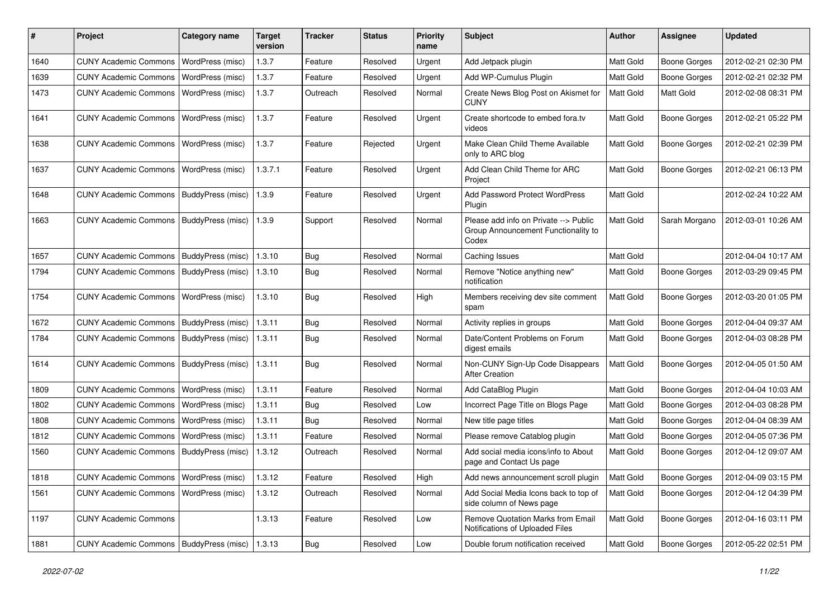| ∦    | Project                                            | <b>Category name</b>     | <b>Target</b><br>version | Tracker    | <b>Status</b> | <b>Priority</b><br>name | Subject                                                                               | <b>Author</b>    | Assignee            | <b>Updated</b>      |
|------|----------------------------------------------------|--------------------------|--------------------------|------------|---------------|-------------------------|---------------------------------------------------------------------------------------|------------------|---------------------|---------------------|
| 1640 | <b>CUNY Academic Commons</b>                       | WordPress (misc)         | 1.3.7                    | Feature    | Resolved      | Urgent                  | Add Jetpack plugin                                                                    | Matt Gold        | <b>Boone Gorges</b> | 2012-02-21 02:30 PM |
| 1639 | <b>CUNY Academic Commons</b>                       | WordPress (misc)         | 1.3.7                    | Feature    | Resolved      | Urgent                  | Add WP-Cumulus Plugin                                                                 | Matt Gold        | <b>Boone Gorges</b> | 2012-02-21 02:32 PM |
| 1473 | <b>CUNY Academic Commons</b>                       | WordPress (misc)         | 1.3.7                    | Outreach   | Resolved      | Normal                  | Create News Blog Post on Akismet for<br><b>CUNY</b>                                   | Matt Gold        | Matt Gold           | 2012-02-08 08:31 PM |
| 1641 | <b>CUNY Academic Commons</b>                       | <b>WordPress (misc)</b>  | 1.3.7                    | Feature    | Resolved      | Urgent                  | Create shortcode to embed fora.tv<br>videos                                           | Matt Gold        | <b>Boone Gorges</b> | 2012-02-21 05:22 PM |
| 1638 | <b>CUNY Academic Commons</b>                       | <b>WordPress (misc)</b>  | 1.3.7                    | Feature    | Rejected      | Urgent                  | Make Clean Child Theme Available<br>only to ARC blog                                  | Matt Gold        | <b>Boone Gorges</b> | 2012-02-21 02:39 PM |
| 1637 | <b>CUNY Academic Commons</b>                       | <b>WordPress (misc)</b>  | 1.3.7.1                  | Feature    | Resolved      | Urgent                  | Add Clean Child Theme for ARC<br>Project                                              | Matt Gold        | <b>Boone Gorges</b> | 2012-02-21 06:13 PM |
| 1648 | <b>CUNY Academic Commons</b>                       | <b>BuddyPress (misc)</b> | 1.3.9                    | Feature    | Resolved      | Urgent                  | <b>Add Password Protect WordPress</b><br>Plugin                                       | Matt Gold        |                     | 2012-02-24 10:22 AM |
| 1663 | <b>CUNY Academic Commons</b>                       | BuddyPress (misc)        | 1.3.9                    | Support    | Resolved      | Normal                  | Please add info on Private --> Public<br>Group Announcement Functionality to<br>Codex | Matt Gold        | Sarah Morgano       | 2012-03-01 10:26 AM |
| 1657 | <b>CUNY Academic Commons</b>                       | BuddyPress (misc)        | 1.3.10                   | <b>Bug</b> | Resolved      | Normal                  | Caching Issues                                                                        | Matt Gold        |                     | 2012-04-04 10:17 AM |
| 1794 | <b>CUNY Academic Commons</b>                       | BuddyPress (misc)        | 1.3.10                   | <b>Bug</b> | Resolved      | Normal                  | Remove "Notice anything new"<br>notification                                          | Matt Gold        | Boone Gorges        | 2012-03-29 09:45 PM |
| 1754 | <b>CUNY Academic Commons</b>                       | <b>WordPress (misc)</b>  | 1.3.10                   | <b>Bug</b> | Resolved      | High                    | Members receiving dev site comment<br>spam                                            | Matt Gold        | <b>Boone Gorges</b> | 2012-03-20 01:05 PM |
| 1672 | <b>CUNY Academic Commons</b>                       | BuddyPress (misc)        | 1.3.11                   | <b>Bug</b> | Resolved      | Normal                  | Activity replies in groups                                                            | Matt Gold        | <b>Boone Gorges</b> | 2012-04-04 09:37 AM |
| 1784 | <b>CUNY Academic Commons</b>                       | BuddyPress (misc)        | 1.3.11                   | <b>Bug</b> | Resolved      | Normal                  | Date/Content Problems on Forum<br>digest emails                                       | Matt Gold        | <b>Boone Gorges</b> | 2012-04-03 08:28 PM |
| 1614 | <b>CUNY Academic Commons</b>                       | BuddyPress (misc)        | 1.3.11                   | <b>Bug</b> | Resolved      | Normal                  | Non-CUNY Sign-Up Code Disappears<br><b>After Creation</b>                             | <b>Matt Gold</b> | Boone Gorges        | 2012-04-05 01:50 AM |
| 1809 | <b>CUNY Academic Commons</b>                       | WordPress (misc)         | 1.3.11                   | Feature    | Resolved      | Normal                  | Add CataBlog Plugin                                                                   | Matt Gold        | Boone Gorges        | 2012-04-04 10:03 AM |
| 1802 | <b>CUNY Academic Commons</b>                       | WordPress (misc)         | 1.3.11                   | Bug        | Resolved      | Low                     | Incorrect Page Title on Blogs Page                                                    | Matt Gold        | <b>Boone Gorges</b> | 2012-04-03 08:28 PM |
| 1808 | <b>CUNY Academic Commons</b>                       | WordPress (misc)         | 1.3.11                   | <b>Bug</b> | Resolved      | Normal                  | New title page titles                                                                 | Matt Gold        | Boone Gorges        | 2012-04-04 08:39 AM |
| 1812 | <b>CUNY Academic Commons</b>                       | WordPress (misc)         | 1.3.11                   | Feature    | Resolved      | Normal                  | Please remove Catablog plugin                                                         | Matt Gold        | <b>Boone Gorges</b> | 2012-04-05 07:36 PM |
| 1560 | <b>CUNY Academic Commons</b>                       | BuddyPress (misc)        | 1.3.12                   | Outreach   | Resolved      | Normal                  | Add social media icons/info to About<br>page and Contact Us page                      | Matt Gold        | <b>Boone Gorges</b> | 2012-04-12 09:07 AM |
| 1818 | CUNY Academic Commons   WordPress (misc)           |                          | 1.3.12                   | Feature    | Resolved      | High                    | Add news announcement scroll plugin                                                   | <b>Matt Gold</b> | <b>Boone Gorges</b> | 2012-04-09 03:15 PM |
| 1561 | <b>CUNY Academic Commons</b>                       | <b>WordPress (misc)</b>  | 1.3.12                   | Outreach   | Resolved      | Normal                  | Add Social Media Icons back to top of<br>side column of News page                     | Matt Gold        | <b>Boone Gorges</b> | 2012-04-12 04:39 PM |
| 1197 | <b>CUNY Academic Commons</b>                       |                          | 1.3.13                   | Feature    | Resolved      | Low                     | Remove Quotation Marks from Email<br>Notifications of Uploaded Files                  | Matt Gold        | Boone Gorges        | 2012-04-16 03:11 PM |
| 1881 | CUNY Academic Commons   BuddyPress (misc)   1.3.13 |                          |                          | <b>Bug</b> | Resolved      | Low                     | Double forum notification received                                                    | Matt Gold        | Boone Gorges        | 2012-05-22 02:51 PM |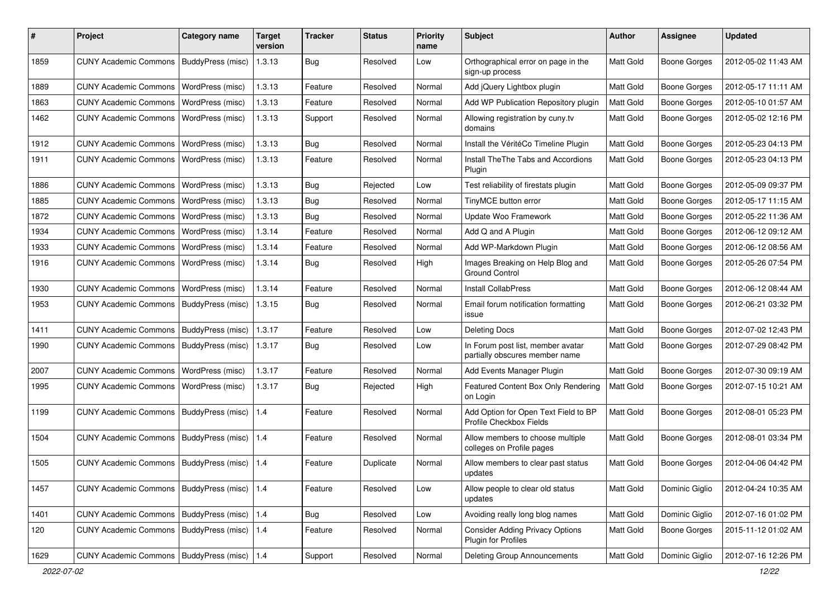| #    | Project                                         | <b>Category name</b>     | <b>Target</b><br>version | <b>Tracker</b> | <b>Status</b> | <b>Priority</b><br>name | <b>Subject</b>                                                      | <b>Author</b>    | Assignee            | <b>Updated</b>      |
|------|-------------------------------------------------|--------------------------|--------------------------|----------------|---------------|-------------------------|---------------------------------------------------------------------|------------------|---------------------|---------------------|
| 1859 | <b>CUNY Academic Commons</b>                    | BuddyPress (misc)        | 1.3.13                   | Bug            | Resolved      | Low                     | Orthographical error on page in the<br>sign-up process              | Matt Gold        | Boone Gorges        | 2012-05-02 11:43 AM |
| 1889 | <b>CUNY Academic Commons</b>                    | WordPress (misc)         | 1.3.13                   | Feature        | Resolved      | Normal                  | Add jQuery Lightbox plugin                                          | Matt Gold        | Boone Gorges        | 2012-05-17 11:11 AM |
| 1863 | <b>CUNY Academic Commons</b>                    | WordPress (misc)         | 1.3.13                   | Feature        | Resolved      | Normal                  | Add WP Publication Repository plugin                                | Matt Gold        | <b>Boone Gorges</b> | 2012-05-10 01:57 AM |
| 1462 | <b>CUNY Academic Commons</b>                    | WordPress (misc)         | 1.3.13                   | Support        | Resolved      | Normal                  | Allowing registration by cuny.tv<br>domains                         | Matt Gold        | Boone Gorges        | 2012-05-02 12:16 PM |
| 1912 | <b>CUNY Academic Commons</b>                    | <b>WordPress (misc)</b>  | 1.3.13                   | Bug            | Resolved      | Normal                  | Install the VéritéCo Timeline Plugin                                | Matt Gold        | <b>Boone Gorges</b> | 2012-05-23 04:13 PM |
| 1911 | <b>CUNY Academic Commons</b>                    | WordPress (misc)         | 1.3.13                   | Feature        | Resolved      | Normal                  | Install The The Tabs and Accordions<br>Plugin                       | Matt Gold        | Boone Gorges        | 2012-05-23 04:13 PM |
| 1886 | <b>CUNY Academic Commons</b>                    | WordPress (misc)         | 1.3.13                   | <b>Bug</b>     | Rejected      | Low                     | Test reliability of firestats plugin                                | Matt Gold        | <b>Boone Gorges</b> | 2012-05-09 09:37 PM |
| 1885 | <b>CUNY Academic Commons</b>                    | WordPress (misc)         | 1.3.13                   | <b>Bug</b>     | Resolved      | Normal                  | TinyMCE button error                                                | Matt Gold        | <b>Boone Gorges</b> | 2012-05-17 11:15 AM |
| 1872 | <b>CUNY Academic Commons</b>                    | WordPress (misc)         | 1.3.13                   | Bug            | Resolved      | Normal                  | Update Woo Framework                                                | Matt Gold        | Boone Gorges        | 2012-05-22 11:36 AM |
| 1934 | <b>CUNY Academic Commons</b>                    | WordPress (misc)         | 1.3.14                   | Feature        | Resolved      | Normal                  | Add Q and A Plugin                                                  | Matt Gold        | <b>Boone Gorges</b> | 2012-06-12 09:12 AM |
| 1933 | <b>CUNY Academic Commons</b>                    | WordPress (misc)         | 1.3.14                   | Feature        | Resolved      | Normal                  | Add WP-Markdown Plugin                                              | Matt Gold        | <b>Boone Gorges</b> | 2012-06-12 08:56 AM |
| 1916 | <b>CUNY Academic Commons</b>                    | WordPress (misc)         | 1.3.14                   | Bug            | Resolved      | High                    | Images Breaking on Help Blog and<br><b>Ground Control</b>           | Matt Gold        | Boone Gorges        | 2012-05-26 07:54 PM |
| 1930 | <b>CUNY Academic Commons</b>                    | WordPress (misc)         | 1.3.14                   | Feature        | Resolved      | Normal                  | <b>Install CollabPress</b>                                          | Matt Gold        | <b>Boone Gorges</b> | 2012-06-12 08:44 AM |
| 1953 | <b>CUNY Academic Commons</b>                    | BuddyPress (misc)        | 1.3.15                   | Bug            | Resolved      | Normal                  | Email forum notification formatting<br>issue                        | Matt Gold        | <b>Boone Gorges</b> | 2012-06-21 03:32 PM |
| 1411 | <b>CUNY Academic Commons</b>                    | BuddyPress (misc)        | 1.3.17                   | Feature        | Resolved      | Low                     | <b>Deleting Docs</b>                                                | Matt Gold        | <b>Boone Gorges</b> | 2012-07-02 12:43 PM |
| 1990 | <b>CUNY Academic Commons</b>                    | BuddyPress (misc)        | 1.3.17                   | Bug            | Resolved      | Low                     | In Forum post list, member avatar<br>partially obscures member name | Matt Gold        | Boone Gorges        | 2012-07-29 08:42 PM |
| 2007 | <b>CUNY Academic Commons</b>                    | WordPress (misc)         | 1.3.17                   | Feature        | Resolved      | Normal                  | Add Events Manager Plugin                                           | Matt Gold        | <b>Boone Gorges</b> | 2012-07-30 09:19 AM |
| 1995 | <b>CUNY Academic Commons</b>                    | WordPress (misc)         | 1.3.17                   | <b>Bug</b>     | Rejected      | High                    | Featured Content Box Only Rendering<br>on Login                     | Matt Gold        | Boone Gorges        | 2012-07-15 10:21 AM |
| 1199 | <b>CUNY Academic Commons</b>                    | BuddyPress (misc)        | 1.4                      | Feature        | Resolved      | Normal                  | Add Option for Open Text Field to BP<br>Profile Checkbox Fields     | <b>Matt Gold</b> | <b>Boone Gorges</b> | 2012-08-01 05:23 PM |
| 1504 | <b>CUNY Academic Commons</b>                    | <b>BuddyPress (misc)</b> | 1.4                      | Feature        | Resolved      | Normal                  | Allow members to choose multiple<br>colleges on Profile pages       | <b>Matt Gold</b> | Boone Gorges        | 2012-08-01 03:34 PM |
| 1505 | CUNY Academic Commons   BuddyPress (misc)   1.4 |                          |                          | Feature        | Duplicate     | Normal                  | Allow members to clear past status<br>updates                       | Matt Gold        | Boone Gorges        | 2012-04-06 04:42 PM |
| 1457 | <b>CUNY Academic Commons</b>                    | BuddyPress (misc)   1.4  |                          | Feature        | Resolved      | Low                     | Allow people to clear old status<br>updates                         | Matt Gold        | Dominic Giglio      | 2012-04-24 10:35 AM |
| 1401 | <b>CUNY Academic Commons</b>                    | BuddyPress (misc)   1.4  |                          | Bug            | Resolved      | Low                     | Avoiding really long blog names                                     | Matt Gold        | Dominic Giglio      | 2012-07-16 01:02 PM |
| 120  | <b>CUNY Academic Commons</b>                    | BuddyPress (misc)        | 1.4                      | Feature        | Resolved      | Normal                  | <b>Consider Adding Privacy Options</b><br>Plugin for Profiles       | Matt Gold        | Boone Gorges        | 2015-11-12 01:02 AM |
| 1629 | CUNY Academic Commons   BuddyPress (misc)       |                          | 1.4                      | Support        | Resolved      | Normal                  | <b>Deleting Group Announcements</b>                                 | Matt Gold        | Dominic Giglio      | 2012-07-16 12:26 PM |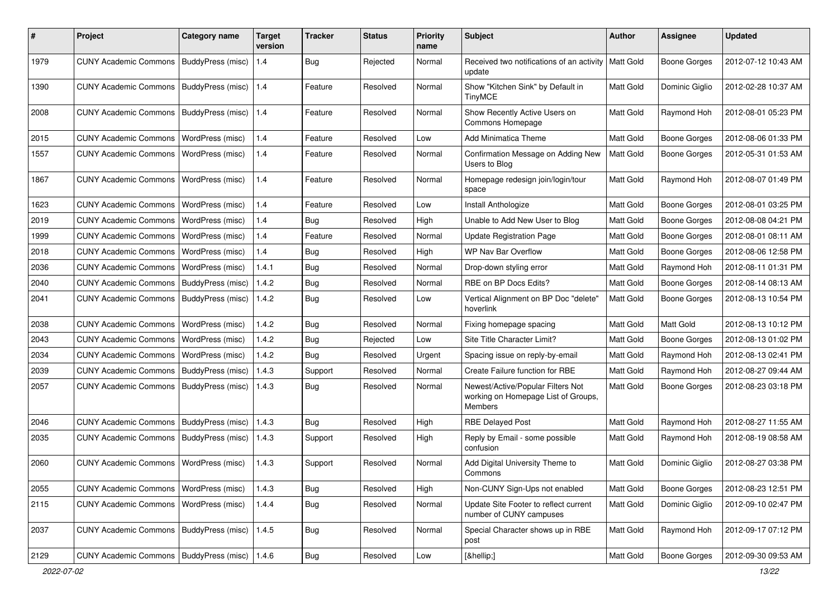| #    | Project                                           | Category name     | <b>Target</b><br>version | <b>Tracker</b> | <b>Status</b> | <b>Priority</b><br>name | Subject                                                                                    | <b>Author</b> | <b>Assignee</b>     | <b>Updated</b>      |
|------|---------------------------------------------------|-------------------|--------------------------|----------------|---------------|-------------------------|--------------------------------------------------------------------------------------------|---------------|---------------------|---------------------|
| 1979 | <b>CUNY Academic Commons</b>                      | BuddyPress (misc) | 1.4                      | <b>Bug</b>     | Rejected      | Normal                  | Received two notifications of an activity<br>update                                        | Matt Gold     | <b>Boone Gorges</b> | 2012-07-12 10:43 AM |
| 1390 | <b>CUNY Academic Commons</b>                      | BuddyPress (misc) | 1.4                      | Feature        | Resolved      | Normal                  | Show "Kitchen Sink" by Default in<br>TinyMCE                                               | Matt Gold     | Dominic Giglio      | 2012-02-28 10:37 AM |
| 2008 | <b>CUNY Academic Commons</b>                      | BuddyPress (misc) | 1.4                      | Feature        | Resolved      | Normal                  | Show Recently Active Users on<br>Commons Homepage                                          | Matt Gold     | Raymond Hoh         | 2012-08-01 05:23 PM |
| 2015 | <b>CUNY Academic Commons</b>                      | WordPress (misc)  | 1.4                      | Feature        | Resolved      | Low                     | Add Minimatica Theme                                                                       | Matt Gold     | Boone Gorges        | 2012-08-06 01:33 PM |
| 1557 | <b>CUNY Academic Commons</b>                      | WordPress (misc)  | 1.4                      | Feature        | Resolved      | Normal                  | Confirmation Message on Adding New<br>Users to Blog                                        | Matt Gold     | Boone Gorges        | 2012-05-31 01:53 AM |
| 1867 | <b>CUNY Academic Commons</b>                      | WordPress (misc)  | 1.4                      | Feature        | Resolved      | Normal                  | Homepage redesign join/login/tour<br>space                                                 | Matt Gold     | Raymond Hoh         | 2012-08-07 01:49 PM |
| 1623 | <b>CUNY Academic Commons</b>                      | WordPress (misc)  | 1.4                      | Feature        | Resolved      | Low                     | Install Anthologize                                                                        | Matt Gold     | <b>Boone Gorges</b> | 2012-08-01 03:25 PM |
| 2019 | <b>CUNY Academic Commons</b>                      | WordPress (misc)  | 1.4                      | Bug            | Resolved      | High                    | Unable to Add New User to Blog                                                             | Matt Gold     | <b>Boone Gorges</b> | 2012-08-08 04:21 PM |
| 1999 | <b>CUNY Academic Commons</b>                      | WordPress (misc)  | 1.4                      | Feature        | Resolved      | Normal                  | <b>Update Registration Page</b>                                                            | Matt Gold     | Boone Gorges        | 2012-08-01 08:11 AM |
| 2018 | <b>CUNY Academic Commons</b>                      | WordPress (misc)  | 1.4                      | Bug            | Resolved      | High                    | WP Nav Bar Overflow                                                                        | Matt Gold     | Boone Gorges        | 2012-08-06 12:58 PM |
| 2036 | <b>CUNY Academic Commons</b>                      | WordPress (misc)  | 1.4.1                    | Bug            | Resolved      | Normal                  | Drop-down styling error                                                                    | Matt Gold     | Raymond Hoh         | 2012-08-11 01:31 PM |
| 2040 | <b>CUNY Academic Commons</b>                      | BuddyPress (misc) | 1.4.2                    | Bug            | Resolved      | Normal                  | RBE on BP Docs Edits?                                                                      | Matt Gold     | Boone Gorges        | 2012-08-14 08:13 AM |
| 2041 | <b>CUNY Academic Commons</b>                      | BuddyPress (misc) | 1.4.2                    | Bug            | Resolved      | Low                     | Vertical Alignment on BP Doc "delete"<br>hoverlink                                         | Matt Gold     | Boone Gorges        | 2012-08-13 10:54 PM |
| 2038 | <b>CUNY Academic Commons</b>                      | WordPress (misc)  | 1.4.2                    | Bug            | Resolved      | Normal                  | Fixing homepage spacing                                                                    | Matt Gold     | Matt Gold           | 2012-08-13 10:12 PM |
| 2043 | <b>CUNY Academic Commons</b>                      | WordPress (misc)  | 1.4.2                    | Bug            | Rejected      | Low                     | Site Title Character Limit?                                                                | Matt Gold     | <b>Boone Gorges</b> | 2012-08-13 01:02 PM |
| 2034 | <b>CUNY Academic Commons</b>                      | WordPress (misc)  | 1.4.2                    | Bug            | Resolved      | Urgent                  | Spacing issue on reply-by-email                                                            | Matt Gold     | Raymond Hoh         | 2012-08-13 02:41 PM |
| 2039 | <b>CUNY Academic Commons</b>                      | BuddyPress (misc) | 1.4.3                    | Support        | Resolved      | Normal                  | Create Failure function for RBE                                                            | Matt Gold     | Raymond Hoh         | 2012-08-27 09:44 AM |
| 2057 | <b>CUNY Academic Commons</b>                      | BuddyPress (misc) | 1.4.3                    | Bug            | Resolved      | Normal                  | Newest/Active/Popular Filters Not<br>working on Homepage List of Groups,<br><b>Members</b> | Matt Gold     | <b>Boone Gorges</b> | 2012-08-23 03:18 PM |
| 2046 | <b>CUNY Academic Commons</b>                      | BuddyPress (misc) | 1.4.3                    | Bug            | Resolved      | High                    | <b>RBE Delayed Post</b>                                                                    | Matt Gold     | Raymond Hoh         | 2012-08-27 11:55 AM |
| 2035 | CUNY Academic Commons   BuddyPress (misc)         |                   | 1.4.3                    | Support        | Resolved      | High                    | Reply by Email - some possible<br>confusion                                                | Matt Gold     | Raymond Hoh         | 2012-08-19 08:58 AM |
| 2060 | <b>CUNY Academic Commons</b>                      | WordPress (misc)  | 1.4.3                    | Support        | Resolved      | Normal                  | Add Digital University Theme to<br>Commons                                                 | Matt Gold     | Dominic Giglio      | 2012-08-27 03:38 PM |
| 2055 | <b>CUNY Academic Commons</b>                      | WordPress (misc)  | 1.4.3                    | Bug            | Resolved      | High                    | Non-CUNY Sign-Ups not enabled                                                              | Matt Gold     | Boone Gorges        | 2012-08-23 12:51 PM |
| 2115 | <b>CUNY Academic Commons</b>                      | WordPress (misc)  | 1.4.4                    | Bug            | Resolved      | Normal                  | Update Site Footer to reflect current<br>number of CUNY campuses                           | Matt Gold     | Dominic Giglio      | 2012-09-10 02:47 PM |
| 2037 | CUNY Academic Commons   BuddyPress (misc)         |                   | 1.4.5                    | Bug            | Resolved      | Normal                  | Special Character shows up in RBE<br>post                                                  | Matt Gold     | Raymond Hoh         | 2012-09-17 07:12 PM |
| 2129 | CUNY Academic Commons   BuddyPress (misc)   1.4.6 |                   |                          | <b>Bug</b>     | Resolved      | Low                     | […]                                                                                        | Matt Gold     | <b>Boone Gorges</b> | 2012-09-30 09:53 AM |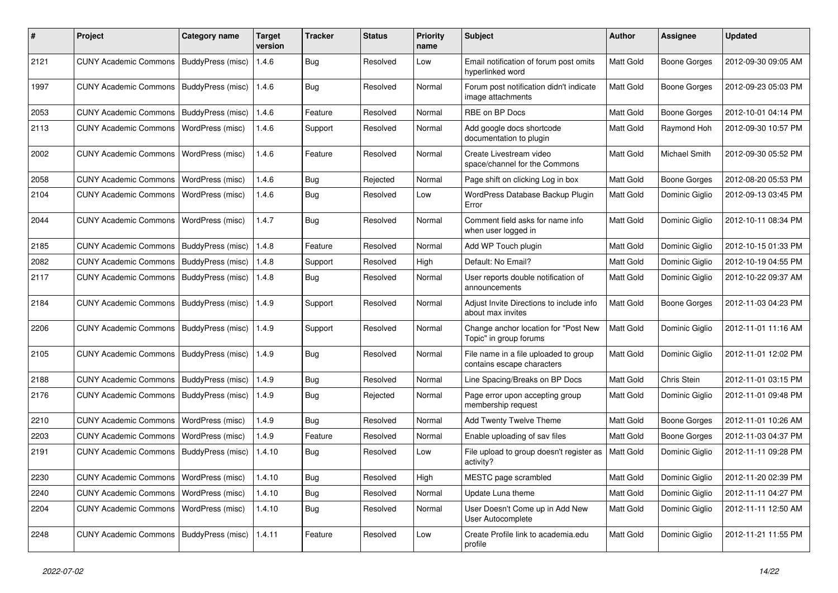| $\pmb{\#}$ | Project                                            | <b>Category name</b>     | <b>Target</b><br>version | <b>Tracker</b> | <b>Status</b> | <b>Priority</b><br>name | Subject                                                             | Author    | Assignee            | <b>Updated</b>      |
|------------|----------------------------------------------------|--------------------------|--------------------------|----------------|---------------|-------------------------|---------------------------------------------------------------------|-----------|---------------------|---------------------|
| 2121       | <b>CUNY Academic Commons</b>                       | BuddyPress (misc)        | 1.4.6                    | <b>Bug</b>     | Resolved      | Low                     | Email notification of forum post omits<br>hyperlinked word          | Matt Gold | Boone Gorges        | 2012-09-30 09:05 AM |
| 1997       | <b>CUNY Academic Commons</b>                       | BuddyPress (misc)        | 1.4.6                    | <b>Bug</b>     | Resolved      | Normal                  | Forum post notification didn't indicate<br>image attachments        | Matt Gold | Boone Gorges        | 2012-09-23 05:03 PM |
| 2053       | <b>CUNY Academic Commons</b>                       | BuddyPress (misc)        | 1.4.6                    | Feature        | Resolved      | Normal                  | RBE on BP Docs                                                      | Matt Gold | <b>Boone Gorges</b> | 2012-10-01 04:14 PM |
| 2113       | <b>CUNY Academic Commons</b>                       | WordPress (misc)         | 1.4.6                    | Support        | Resolved      | Normal                  | Add google docs shortcode<br>documentation to plugin                | Matt Gold | Raymond Hoh         | 2012-09-30 10:57 PM |
| 2002       | <b>CUNY Academic Commons</b>                       | WordPress (misc)         | 1.4.6                    | Feature        | Resolved      | Normal                  | Create Livestream video<br>space/channel for the Commons            | Matt Gold | Michael Smith       | 2012-09-30 05:52 PM |
| 2058       | <b>CUNY Academic Commons</b>                       | WordPress (misc)         | 1.4.6                    | Bug            | Rejected      | Normal                  | Page shift on clicking Log in box                                   | Matt Gold | Boone Gorges        | 2012-08-20 05:53 PM |
| 2104       | <b>CUNY Academic Commons</b>                       | WordPress (misc)         | 1.4.6                    | Bug            | Resolved      | Low                     | WordPress Database Backup Plugin<br>Error                           | Matt Gold | Dominic Giglio      | 2012-09-13 03:45 PM |
| 2044       | <b>CUNY Academic Commons</b>                       | WordPress (misc)         | 1.4.7                    | Bug            | Resolved      | Normal                  | Comment field asks for name info<br>when user logged in             | Matt Gold | Dominic Giglio      | 2012-10-11 08:34 PM |
| 2185       | <b>CUNY Academic Commons</b>                       | BuddyPress (misc)        | 1.4.8                    | Feature        | Resolved      | Normal                  | Add WP Touch plugin                                                 | Matt Gold | Dominic Giglio      | 2012-10-15 01:33 PM |
| 2082       | <b>CUNY Academic Commons</b>                       | BuddyPress (misc)        | 1.4.8                    | Support        | Resolved      | High                    | Default: No Email?                                                  | Matt Gold | Dominic Giglio      | 2012-10-19 04:55 PM |
| 2117       | <b>CUNY Academic Commons</b>                       | BuddyPress (misc)        | 1.4.8                    | Bug            | Resolved      | Normal                  | User reports double notification of<br>announcements                | Matt Gold | Dominic Giglio      | 2012-10-22 09:37 AM |
| 2184       | <b>CUNY Academic Commons</b>                       | BuddyPress (misc)        | 1.4.9                    | Support        | Resolved      | Normal                  | Adjust Invite Directions to include info<br>about max invites       | Matt Gold | Boone Gorges        | 2012-11-03 04:23 PM |
| 2206       | <b>CUNY Academic Commons</b>                       | BuddyPress (misc)        | 1.4.9                    | Support        | Resolved      | Normal                  | Change anchor location for "Post New<br>Topic" in group forums      | Matt Gold | Dominic Giglio      | 2012-11-01 11:16 AM |
| 2105       | <b>CUNY Academic Commons</b>                       | <b>BuddyPress (misc)</b> | 1.4.9                    | <b>Bug</b>     | Resolved      | Normal                  | File name in a file uploaded to group<br>contains escape characters | Matt Gold | Dominic Giglio      | 2012-11-01 12:02 PM |
| 2188       | <b>CUNY Academic Commons</b>                       | BuddyPress (misc)        | 1.4.9                    | <b>Bug</b>     | Resolved      | Normal                  | Line Spacing/Breaks on BP Docs                                      | Matt Gold | Chris Stein         | 2012-11-01 03:15 PM |
| 2176       | <b>CUNY Academic Commons</b>                       | BuddyPress (misc)        | 1.4.9                    | <b>Bug</b>     | Rejected      | Normal                  | Page error upon accepting group<br>membership request               | Matt Gold | Dominic Giglio      | 2012-11-01 09:48 PM |
| 2210       | <b>CUNY Academic Commons</b>                       | WordPress (misc)         | 1.4.9                    | Bug            | Resolved      | Normal                  | Add Twenty Twelve Theme                                             | Matt Gold | <b>Boone Gorges</b> | 2012-11-01 10:26 AM |
| 2203       | <b>CUNY Academic Commons</b>                       | WordPress (misc)         | 1.4.9                    | Feature        | Resolved      | Normal                  | Enable uploading of sav files                                       | Matt Gold | <b>Boone Gorges</b> | 2012-11-03 04:37 PM |
| 2191       | <b>CUNY Academic Commons</b>                       | BuddyPress (misc)        | 1.4.10                   | Bug            | Resolved      | Low                     | File upload to group doesn't register as<br>activity?               | Matt Gold | Dominic Giglio      | 2012-11-11 09:28 PM |
| 2230       | CUNY Academic Commons   WordPress (misc)           |                          | 1.4.10                   | <b>Bug</b>     | Resolved      | High                    | MESTC page scrambled                                                | Matt Gold | Dominic Giglio      | 2012-11-20 02:39 PM |
| 2240       | CUNY Academic Commons   WordPress (misc)           |                          | 1.4.10                   | Bug            | Resolved      | Normal                  | Update Luna theme                                                   | Matt Gold | Dominic Giglio      | 2012-11-11 04:27 PM |
| 2204       | <b>CUNY Academic Commons</b>                       | <b>WordPress (misc)</b>  | 1.4.10                   | <b>Bug</b>     | Resolved      | Normal                  | User Doesn't Come up in Add New<br>User Autocomplete                | Matt Gold | Dominic Giglio      | 2012-11-11 12:50 AM |
| 2248       | CUNY Academic Commons   BuddyPress (misc)   1.4.11 |                          |                          | Feature        | Resolved      | Low                     | Create Profile link to academia.edu<br>profile                      | Matt Gold | Dominic Giglio      | 2012-11-21 11:55 PM |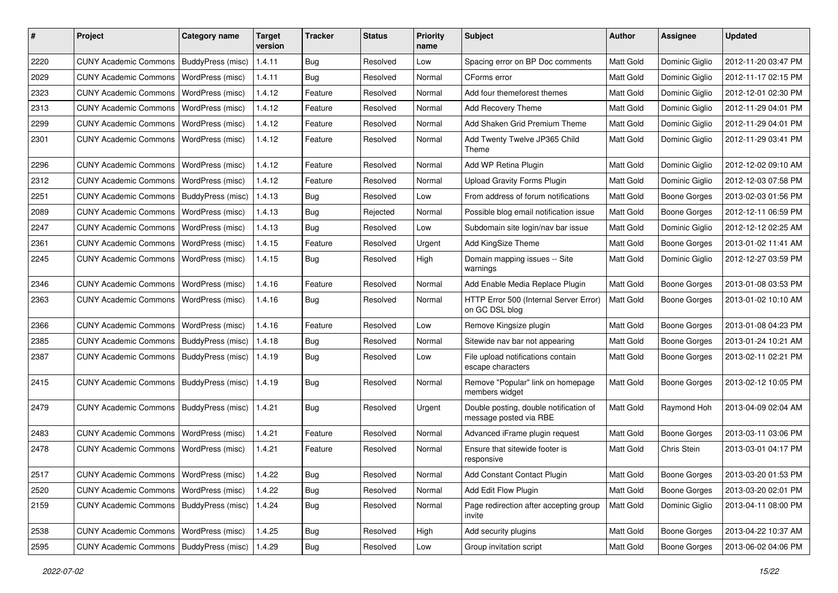| #    | Project                                   | Category name            | <b>Target</b><br>version | <b>Tracker</b> | <b>Status</b> | <b>Priority</b><br>name | <b>Subject</b>                                                   | Author           | Assignee            | <b>Updated</b>      |
|------|-------------------------------------------|--------------------------|--------------------------|----------------|---------------|-------------------------|------------------------------------------------------------------|------------------|---------------------|---------------------|
| 2220 | <b>CUNY Academic Commons</b>              | BuddyPress (misc)        | 1.4.11                   | <b>Bug</b>     | Resolved      | Low                     | Spacing error on BP Doc comments                                 | Matt Gold        | Dominic Giglio      | 2012-11-20 03:47 PM |
| 2029 | <b>CUNY Academic Commons</b>              | WordPress (misc)         | 1.4.11                   | Bug            | Resolved      | Normal                  | CForms error                                                     | Matt Gold        | Dominic Giglio      | 2012-11-17 02:15 PM |
| 2323 | <b>CUNY Academic Commons</b>              | WordPress (misc)         | 1.4.12                   | Feature        | Resolved      | Normal                  | Add four themeforest themes                                      | Matt Gold        | Dominic Giglio      | 2012-12-01 02:30 PM |
| 2313 | <b>CUNY Academic Commons</b>              | WordPress (misc)         | 1.4.12                   | Feature        | Resolved      | Normal                  | Add Recovery Theme                                               | Matt Gold        | Dominic Giglio      | 2012-11-29 04:01 PM |
| 2299 | <b>CUNY Academic Commons</b>              | WordPress (misc)         | 1.4.12                   | Feature        | Resolved      | Normal                  | Add Shaken Grid Premium Theme                                    | Matt Gold        | Dominic Giglio      | 2012-11-29 04:01 PM |
| 2301 | <b>CUNY Academic Commons</b>              | WordPress (misc)         | 1.4.12                   | Feature        | Resolved      | Normal                  | Add Twenty Twelve JP365 Child<br>Theme                           | <b>Matt Gold</b> | Dominic Giglio      | 2012-11-29 03:41 PM |
| 2296 | <b>CUNY Academic Commons</b>              | WordPress (misc)         | 1.4.12                   | Feature        | Resolved      | Normal                  | Add WP Retina Plugin                                             | Matt Gold        | Dominic Giglio      | 2012-12-02 09:10 AM |
| 2312 | <b>CUNY Academic Commons</b>              | WordPress (misc)         | 1.4.12                   | Feature        | Resolved      | Normal                  | <b>Upload Gravity Forms Plugin</b>                               | Matt Gold        | Dominic Giglio      | 2012-12-03 07:58 PM |
| 2251 | <b>CUNY Academic Commons</b>              | BuddyPress (misc)        | 1.4.13                   | Bug            | Resolved      | Low                     | From address of forum notifications                              | Matt Gold        | <b>Boone Gorges</b> | 2013-02-03 01:56 PM |
| 2089 | <b>CUNY Academic Commons</b>              | WordPress (misc)         | 1.4.13                   | Bug            | Rejected      | Normal                  | Possible blog email notification issue                           | Matt Gold        | Boone Gorges        | 2012-12-11 06:59 PM |
| 2247 | <b>CUNY Academic Commons</b>              | WordPress (misc)         | 1.4.13                   | Bug            | Resolved      | Low                     | Subdomain site login/nav bar issue                               | Matt Gold        | Dominic Giglio      | 2012-12-12 02:25 AM |
| 2361 | <b>CUNY Academic Commons</b>              | WordPress (misc)         | 1.4.15                   | Feature        | Resolved      | Urgent                  | Add KingSize Theme                                               | Matt Gold        | <b>Boone Gorges</b> | 2013-01-02 11:41 AM |
| 2245 | <b>CUNY Academic Commons</b>              | WordPress (misc)         | 1.4.15                   | Bug            | Resolved      | High                    | Domain mapping issues -- Site<br>warnings                        | <b>Matt Gold</b> | Dominic Giglio      | 2012-12-27 03:59 PM |
| 2346 | <b>CUNY Academic Commons</b>              | WordPress (misc)         | 1.4.16                   | Feature        | Resolved      | Normal                  | Add Enable Media Replace Plugin                                  | Matt Gold        | Boone Gorges        | 2013-01-08 03:53 PM |
| 2363 | <b>CUNY Academic Commons</b>              | WordPress (misc)         | 1.4.16                   | Bug            | Resolved      | Normal                  | HTTP Error 500 (Internal Server Error)<br>on GC DSL blog         | <b>Matt Gold</b> | Boone Gorges        | 2013-01-02 10:10 AM |
| 2366 | <b>CUNY Academic Commons</b>              | WordPress (misc)         | 1.4.16                   | Feature        | Resolved      | Low                     | Remove Kingsize plugin                                           | Matt Gold        | <b>Boone Gorges</b> | 2013-01-08 04:23 PM |
| 2385 | <b>CUNY Academic Commons</b>              | BuddyPress (misc)        | 1.4.18                   | Bug            | Resolved      | Normal                  | Sitewide nav bar not appearing                                   | Matt Gold        | <b>Boone Gorges</b> | 2013-01-24 10:21 AM |
| 2387 | <b>CUNY Academic Commons</b>              | BuddyPress (misc)        | 1.4.19                   | Bug            | Resolved      | Low                     | File upload notifications contain<br>escape characters           | Matt Gold        | Boone Gorges        | 2013-02-11 02:21 PM |
| 2415 | <b>CUNY Academic Commons</b>              | BuddyPress (misc)        | 1.4.19                   | Bug            | Resolved      | Normal                  | Remove "Popular" link on homepage<br>members widget              | Matt Gold        | Boone Gorges        | 2013-02-12 10:05 PM |
| 2479 | <b>CUNY Academic Commons</b>              | <b>BuddyPress</b> (misc) | 1.4.21                   | Bug            | Resolved      | Urgent                  | Double posting, double notification of<br>message posted via RBE | Matt Gold        | Raymond Hoh         | 2013-04-09 02:04 AM |
| 2483 | <b>CUNY Academic Commons</b>              | WordPress (misc)         | 1.4.21                   | Feature        | Resolved      | Normal                  | Advanced iFrame plugin request                                   | Matt Gold        | Boone Gorges        | 2013-03-11 03:06 PM |
| 2478 | <b>CUNY Academic Commons</b>              | WordPress (misc)         | 1.4.21                   | Feature        | Resolved      | Normal                  | Ensure that sitewide footer is<br>responsive                     | Matt Gold        | Chris Stein         | 2013-03-01 04:17 PM |
| 2517 | CUNY Academic Commons   WordPress (misc)  |                          | 1.4.22                   | <b>Bug</b>     | Resolved      | Normal                  | Add Constant Contact Plugin                                      | Matt Gold        | Boone Gorges        | 2013-03-20 01:53 PM |
| 2520 | CUNY Academic Commons                     | WordPress (misc)         | 1.4.22                   | Bug            | Resolved      | Normal                  | Add Edit Flow Plugin                                             | Matt Gold        | <b>Boone Gorges</b> | 2013-03-20 02:01 PM |
| 2159 | CUNY Academic Commons   BuddyPress (misc) |                          | 1.4.24                   | Bug            | Resolved      | Normal                  | Page redirection after accepting group<br>invite                 | Matt Gold        | Dominic Giglio      | 2013-04-11 08:00 PM |
| 2538 | <b>CUNY Academic Commons</b>              | WordPress (misc)         | 1.4.25                   | Bug            | Resolved      | High                    | Add security plugins                                             | Matt Gold        | Boone Gorges        | 2013-04-22 10:37 AM |
| 2595 | CUNY Academic Commons   BuddyPress (misc) |                          | 1.4.29                   | Bug            | Resolved      | Low                     | Group invitation script                                          | Matt Gold        | <b>Boone Gorges</b> | 2013-06-02 04:06 PM |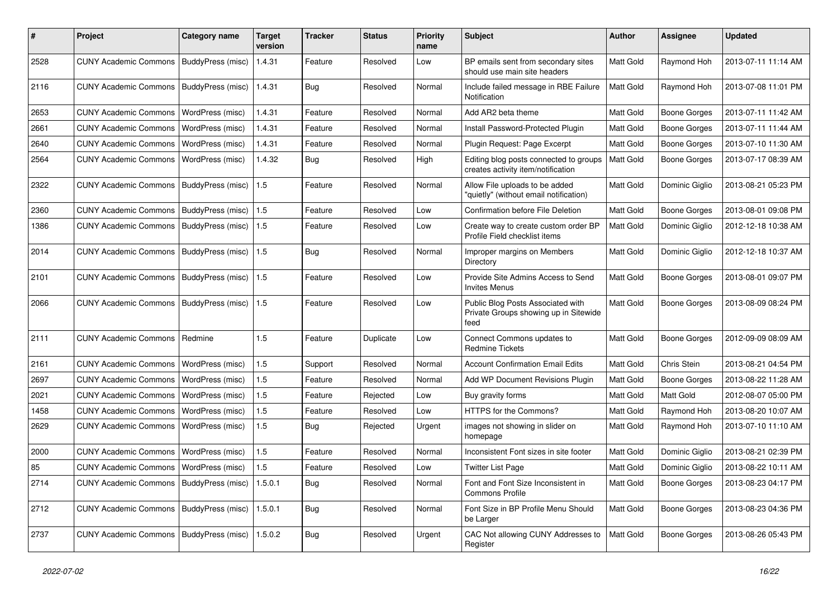| #    | Project                                             | <b>Category name</b> | <b>Target</b><br>version | <b>Tracker</b> | <b>Status</b> | <b>Priority</b><br>name | Subject                                                                            | <b>Author</b>    | <b>Assignee</b>     | <b>Updated</b>      |
|------|-----------------------------------------------------|----------------------|--------------------------|----------------|---------------|-------------------------|------------------------------------------------------------------------------------|------------------|---------------------|---------------------|
| 2528 | <b>CUNY Academic Commons</b>                        | BuddyPress (misc)    | 1.4.31                   | Feature        | Resolved      | Low                     | BP emails sent from secondary sites<br>should use main site headers                | Matt Gold        | Raymond Hoh         | 2013-07-11 11:14 AM |
| 2116 | <b>CUNY Academic Commons</b>                        | BuddyPress (misc)    | 1.4.31                   | Bug            | Resolved      | Normal                  | Include failed message in RBE Failure<br>Notification                              | <b>Matt Gold</b> | Raymond Hoh         | 2013-07-08 11:01 PM |
| 2653 | <b>CUNY Academic Commons</b>                        | WordPress (misc)     | 1.4.31                   | Feature        | Resolved      | Normal                  | Add AR2 beta theme                                                                 | Matt Gold        | <b>Boone Gorges</b> | 2013-07-11 11:42 AM |
| 2661 | <b>CUNY Academic Commons</b>                        | WordPress (misc)     | 1.4.31                   | Feature        | Resolved      | Normal                  | Install Password-Protected Plugin                                                  | Matt Gold        | Boone Gorges        | 2013-07-11 11:44 AM |
| 2640 | <b>CUNY Academic Commons</b>                        | WordPress (misc)     | 1.4.31                   | Feature        | Resolved      | Normal                  | Plugin Request: Page Excerpt                                                       | Matt Gold        | <b>Boone Gorges</b> | 2013-07-10 11:30 AM |
| 2564 | <b>CUNY Academic Commons</b>                        | WordPress (misc)     | 1.4.32                   | Bug            | Resolved      | High                    | Editing blog posts connected to groups<br>creates activity item/notification       | Matt Gold        | <b>Boone Gorges</b> | 2013-07-17 08:39 AM |
| 2322 | <b>CUNY Academic Commons</b>                        | BuddyPress (misc)    | 1.5                      | Feature        | Resolved      | Normal                  | Allow File uploads to be added<br>"quietly" (without email notification)           | Matt Gold        | Dominic Giglio      | 2013-08-21 05:23 PM |
| 2360 | <b>CUNY Academic Commons</b>                        | BuddyPress (misc)    | 1.5                      | Feature        | Resolved      | Low                     | Confirmation before File Deletion                                                  | Matt Gold        | <b>Boone Gorges</b> | 2013-08-01 09:08 PM |
| 1386 | <b>CUNY Academic Commons</b>                        | BuddyPress (misc)    | 1.5                      | Feature        | Resolved      | Low                     | Create way to create custom order BP<br>Profile Field checklist items              | Matt Gold        | Dominic Giglio      | 2012-12-18 10:38 AM |
| 2014 | CUNY Academic Commons   BuddyPress (misc)           |                      | 1.5                      | Bug            | Resolved      | Normal                  | Improper margins on Members<br>Directory                                           | Matt Gold        | Dominic Giglio      | 2012-12-18 10:37 AM |
| 2101 | <b>CUNY Academic Commons</b>                        | BuddyPress (misc)    | 1.5                      | Feature        | Resolved      | Low                     | Provide Site Admins Access to Send<br><b>Invites Menus</b>                         | Matt Gold        | Boone Gorges        | 2013-08-01 09:07 PM |
| 2066 | <b>CUNY Academic Commons</b>                        | BuddyPress (misc)    | 1.5                      | Feature        | Resolved      | Low                     | Public Blog Posts Associated with<br>Private Groups showing up in Sitewide<br>feed | Matt Gold        | Boone Gorges        | 2013-08-09 08:24 PM |
| 2111 | <b>CUNY Academic Commons</b>                        | Redmine              | 1.5                      | Feature        | Duplicate     | Low                     | Connect Commons updates to<br><b>Redmine Tickets</b>                               | Matt Gold        | Boone Gorges        | 2012-09-09 08:09 AM |
| 2161 | <b>CUNY Academic Commons</b>                        | WordPress (misc)     | 1.5                      | Support        | Resolved      | Normal                  | <b>Account Confirmation Email Edits</b>                                            | Matt Gold        | Chris Stein         | 2013-08-21 04:54 PM |
| 2697 | <b>CUNY Academic Commons</b>                        | WordPress (misc)     | 1.5                      | Feature        | Resolved      | Normal                  | Add WP Document Revisions Plugin                                                   | Matt Gold        | <b>Boone Gorges</b> | 2013-08-22 11:28 AM |
| 2021 | <b>CUNY Academic Commons</b>                        | WordPress (misc)     | 1.5                      | Feature        | Rejected      | Low                     | Buy gravity forms                                                                  | Matt Gold        | Matt Gold           | 2012-08-07 05:00 PM |
| 1458 | <b>CUNY Academic Commons</b>                        | WordPress (misc)     | 1.5                      | Feature        | Resolved      | Low                     | HTTPS for the Commons?                                                             | Matt Gold        | Raymond Hoh         | 2013-08-20 10:07 AM |
| 2629 | <b>CUNY Academic Commons</b>                        | WordPress (misc)     | 1.5                      | Bug            | Rejected      | Urgent                  | images not showing in slider on<br>homepage                                        | Matt Gold        | Raymond Hoh         | 2013-07-10 11:10 AM |
| 2000 | <b>CUNY Academic Commons</b>                        | WordPress (misc)     | 1.5                      | Feature        | Resolved      | Normal                  | Inconsistent Font sizes in site footer                                             | Matt Gold        | Dominic Giglio      | 2013-08-21 02:39 PM |
| 85   | CUNY Academic Commons   WordPress (misc)            |                      | 1.5                      | Feature        | Resolved      | Low                     | <b>Twitter List Page</b>                                                           | Matt Gold        | Dominic Giglio      | 2013-08-22 10:11 AM |
| 2714 | CUNY Academic Commons   BuddyPress (misc)           |                      | 1.5.0.1                  | <b>Bug</b>     | Resolved      | Normal                  | Font and Font Size Inconsistent in<br><b>Commons Profile</b>                       | Matt Gold        | Boone Gorges        | 2013-08-23 04:17 PM |
| 2712 | CUNY Academic Commons   BuddyPress (misc)           |                      | 1.5.0.1                  | Bug            | Resolved      | Normal                  | Font Size in BP Profile Menu Should<br>be Larger                                   | Matt Gold        | Boone Gorges        | 2013-08-23 04:36 PM |
| 2737 | CUNY Academic Commons   BuddyPress (misc)   1.5.0.2 |                      |                          | <b>Bug</b>     | Resolved      | Urgent                  | CAC Not allowing CUNY Addresses to<br>Register                                     | Matt Gold        | Boone Gorges        | 2013-08-26 05:43 PM |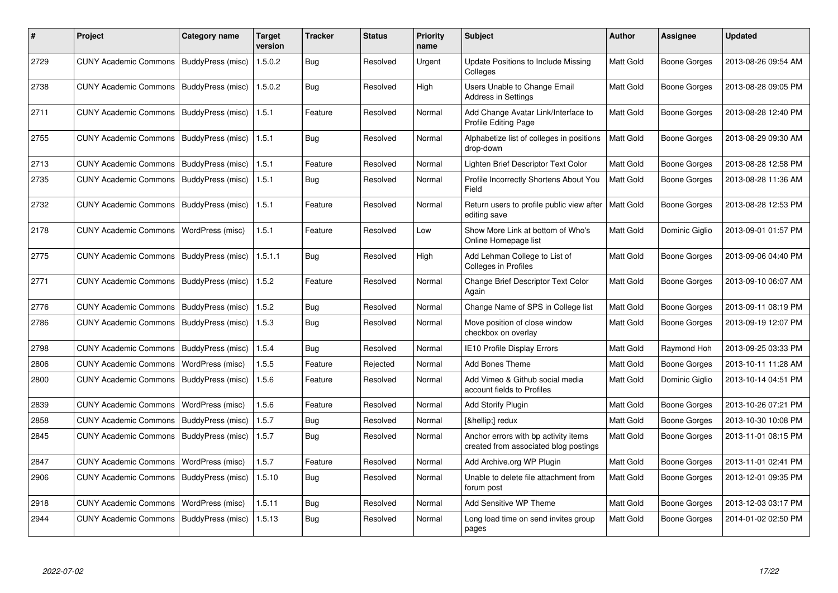| #    | Project                                   | Category name     | <b>Target</b><br>version | <b>Tracker</b> | <b>Status</b> | <b>Priority</b><br>name | <b>Subject</b>                                                                | <b>Author</b>    | Assignee            | <b>Updated</b>      |
|------|-------------------------------------------|-------------------|--------------------------|----------------|---------------|-------------------------|-------------------------------------------------------------------------------|------------------|---------------------|---------------------|
| 2729 | <b>CUNY Academic Commons</b>              | BuddyPress (misc) | 1.5.0.2                  | Bug            | Resolved      | Urgent                  | Update Positions to Include Missing<br>Colleges                               | Matt Gold        | <b>Boone Gorges</b> | 2013-08-26 09:54 AM |
| 2738 | <b>CUNY Academic Commons</b>              | BuddyPress (misc) | 1.5.0.2                  | Bug            | Resolved      | High                    | Users Unable to Change Email<br><b>Address in Settings</b>                    | <b>Matt Gold</b> | Boone Gorges        | 2013-08-28 09:05 PM |
| 2711 | <b>CUNY Academic Commons</b>              | BuddyPress (misc) | 1.5.1                    | Feature        | Resolved      | Normal                  | Add Change Avatar Link/Interface to<br>Profile Editing Page                   | Matt Gold        | Boone Gorges        | 2013-08-28 12:40 PM |
| 2755 | <b>CUNY Academic Commons</b>              | BuddyPress (misc) | 1.5.1                    | Bug            | Resolved      | Normal                  | Alphabetize list of colleges in positions<br>drop-down                        | Matt Gold        | <b>Boone Gorges</b> | 2013-08-29 09:30 AM |
| 2713 | <b>CUNY Academic Commons</b>              | BuddyPress (misc) | 1.5.1                    | Feature        | Resolved      | Normal                  | Lighten Brief Descriptor Text Color                                           | Matt Gold        | Boone Gorges        | 2013-08-28 12:58 PM |
| 2735 | <b>CUNY Academic Commons</b>              | BuddyPress (misc) | 1.5.1                    | Bug            | Resolved      | Normal                  | Profile Incorrectly Shortens About You<br>Field                               | Matt Gold        | Boone Gorges        | 2013-08-28 11:36 AM |
| 2732 | <b>CUNY Academic Commons</b>              | BuddyPress (misc) | 1.5.1                    | Feature        | Resolved      | Normal                  | Return users to profile public view after<br>editing save                     | <b>Matt Gold</b> | Boone Gorges        | 2013-08-28 12:53 PM |
| 2178 | <b>CUNY Academic Commons</b>              | WordPress (misc)  | 1.5.1                    | Feature        | Resolved      | Low                     | Show More Link at bottom of Who's<br>Online Homepage list                     | Matt Gold        | Dominic Giglio      | 2013-09-01 01:57 PM |
| 2775 | CUNY Academic Commons   BuddyPress (misc) |                   | 1.5.1.1                  | Bug            | Resolved      | High                    | Add Lehman College to List of<br>Colleges in Profiles                         | Matt Gold        | Boone Gorges        | 2013-09-06 04:40 PM |
| 2771 | <b>CUNY Academic Commons</b>              | BuddyPress (misc) | 1.5.2                    | Feature        | Resolved      | Normal                  | Change Brief Descriptor Text Color<br>Again                                   | Matt Gold        | <b>Boone Gorges</b> | 2013-09-10 06:07 AM |
| 2776 | <b>CUNY Academic Commons</b>              | BuddyPress (misc) | 1.5.2                    | <b>Bug</b>     | Resolved      | Normal                  | Change Name of SPS in College list                                            | Matt Gold        | Boone Gorges        | 2013-09-11 08:19 PM |
| 2786 | <b>CUNY Academic Commons</b>              | BuddyPress (misc) | 1.5.3                    | Bug            | Resolved      | Normal                  | Move position of close window<br>checkbox on overlay                          | Matt Gold        | Boone Gorges        | 2013-09-19 12:07 PM |
| 2798 | <b>CUNY Academic Commons</b>              | BuddyPress (misc) | 1.5.4                    | <b>Bug</b>     | Resolved      | Normal                  | <b>IE10 Profile Display Errors</b>                                            | Matt Gold        | Raymond Hoh         | 2013-09-25 03:33 PM |
| 2806 | <b>CUNY Academic Commons</b>              | WordPress (misc)  | 1.5.5                    | Feature        | Rejected      | Normal                  | <b>Add Bones Theme</b>                                                        | Matt Gold        | <b>Boone Gorges</b> | 2013-10-11 11:28 AM |
| 2800 | <b>CUNY Academic Commons</b>              | BuddyPress (misc) | 1.5.6                    | Feature        | Resolved      | Normal                  | Add Vimeo & Github social media<br>account fields to Profiles                 | <b>Matt Gold</b> | Dominic Giglio      | 2013-10-14 04:51 PM |
| 2839 | <b>CUNY Academic Commons</b>              | WordPress (misc)  | 1.5.6                    | Feature        | Resolved      | Normal                  | <b>Add Storify Plugin</b>                                                     | Matt Gold        | Boone Gorges        | 2013-10-26 07:21 PM |
| 2858 | <b>CUNY Academic Commons</b>              | BuddyPress (misc) | 1.5.7                    | Bug            | Resolved      | Normal                  | […] redux                                                                     | <b>Matt Gold</b> | <b>Boone Gorges</b> | 2013-10-30 10:08 PM |
| 2845 | <b>CUNY Academic Commons</b>              | BuddyPress (misc) | 1.5.7                    | Bug            | Resolved      | Normal                  | Anchor errors with bp activity items<br>created from associated blog postings | Matt Gold        | Boone Gorges        | 2013-11-01 08:15 PM |
| 2847 | <b>CUNY Academic Commons</b>              | WordPress (misc)  | 1.5.7                    | Feature        | Resolved      | Normal                  | Add Archive.org WP Plugin                                                     | <b>Matt Gold</b> | Boone Gorges        | 2013-11-01 02:41 PM |
| 2906 | <b>CUNY Academic Commons</b>              | BuddyPress (misc) | 1.5.10                   | <b>Bug</b>     | Resolved      | Normal                  | Unable to delete file attachment from<br>forum post                           | Matt Gold        | Boone Gorges        | 2013-12-01 09:35 PM |
| 2918 | <b>CUNY Academic Commons</b>              | WordPress (misc)  | 1.5.11                   | <b>Bug</b>     | Resolved      | Normal                  | Add Sensitive WP Theme                                                        | Matt Gold        | Boone Gorges        | 2013-12-03 03:17 PM |
| 2944 | <b>CUNY Academic Commons</b>              | BuddyPress (misc) | 1.5.13                   | Bug            | Resolved      | Normal                  | Long load time on send invites group<br>pages                                 | Matt Gold        | Boone Gorges        | 2014-01-02 02:50 PM |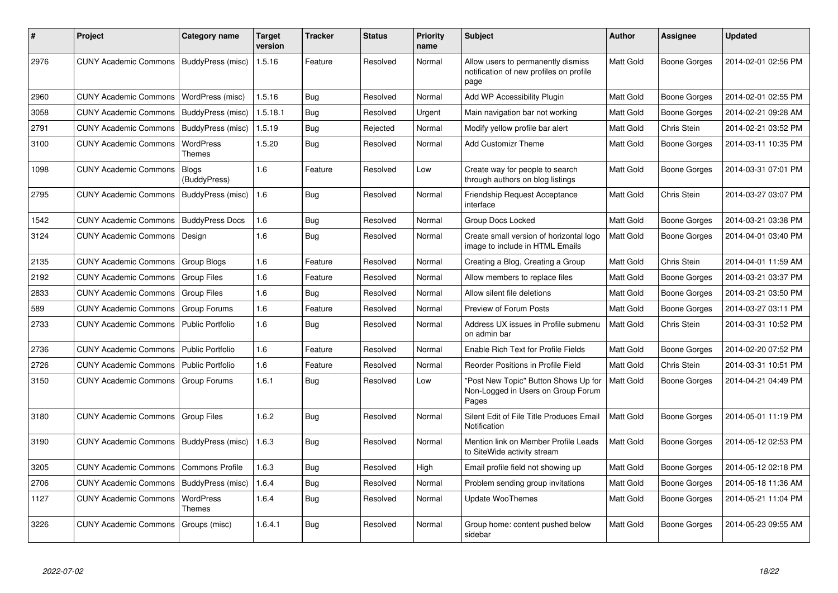| #    | <b>Project</b>                            | Category name                | <b>Target</b><br>version | <b>Tracker</b> | <b>Status</b> | Priority<br>name | <b>Subject</b>                                                                        | <b>Author</b> | Assignee            | <b>Updated</b>      |
|------|-------------------------------------------|------------------------------|--------------------------|----------------|---------------|------------------|---------------------------------------------------------------------------------------|---------------|---------------------|---------------------|
| 2976 | CUNY Academic Commons   BuddyPress (misc) |                              | 1.5.16                   | Feature        | Resolved      | Normal           | Allow users to permanently dismiss<br>notification of new profiles on profile<br>page | Matt Gold     | <b>Boone Gorges</b> | 2014-02-01 02:56 PM |
| 2960 | <b>CUNY Academic Commons</b>              | WordPress (misc)             | 1.5.16                   | Bug            | Resolved      | Normal           | Add WP Accessibility Plugin                                                           | Matt Gold     | <b>Boone Gorges</b> | 2014-02-01 02:55 PM |
| 3058 | <b>CUNY Academic Commons</b>              | BuddyPress (misc)            | 1.5.18.1                 | Bug            | Resolved      | Urgent           | Main navigation bar not working                                                       | Matt Gold     | Boone Gorges        | 2014-02-21 09:28 AM |
| 2791 | <b>CUNY Academic Commons</b>              | BuddyPress (misc)            | 1.5.19                   | Bug            | Rejected      | Normal           | Modify yellow profile bar alert                                                       | Matt Gold     | Chris Stein         | 2014-02-21 03:52 PM |
| 3100 | <b>CUNY Academic Commons</b>              | WordPress<br>Themes          | 1.5.20                   | Bug            | Resolved      | Normal           | <b>Add Customizr Theme</b>                                                            | Matt Gold     | Boone Gorges        | 2014-03-11 10:35 PM |
| 1098 | <b>CUNY Academic Commons</b>              | <b>Blogs</b><br>(BuddyPress) | 1.6                      | Feature        | Resolved      | Low              | Create way for people to search<br>through authors on blog listings                   | Matt Gold     | Boone Gorges        | 2014-03-31 07:01 PM |
| 2795 | <b>CUNY Academic Commons</b>              | BuddyPress (misc)            | 1.6                      | Bug            | Resolved      | Normal           | Friendship Request Acceptance<br>interface                                            | Matt Gold     | Chris Stein         | 2014-03-27 03:07 PM |
| 1542 | <b>CUNY Academic Commons</b>              | <b>BuddyPress Docs</b>       | 1.6                      | <b>Bug</b>     | Resolved      | Normal           | Group Docs Locked                                                                     | Matt Gold     | <b>Boone Gorges</b> | 2014-03-21 03:38 PM |
| 3124 | <b>CUNY Academic Commons</b>              | Design                       | 1.6                      | Bug            | Resolved      | Normal           | Create small version of horizontal logo<br>image to include in HTML Emails            | Matt Gold     | <b>Boone Gorges</b> | 2014-04-01 03:40 PM |
| 2135 | <b>CUNY Academic Commons</b>              | Group Blogs                  | 1.6                      | Feature        | Resolved      | Normal           | Creating a Blog, Creating a Group                                                     | Matt Gold     | Chris Stein         | 2014-04-01 11:59 AM |
| 2192 | <b>CUNY Academic Commons</b>              | <b>Group Files</b>           | 1.6                      | Feature        | Resolved      | Normal           | Allow members to replace files                                                        | Matt Gold     | Boone Gorges        | 2014-03-21 03:37 PM |
| 2833 | <b>CUNY Academic Commons</b>              | <b>Group Files</b>           | 1.6                      | <b>Bug</b>     | Resolved      | Normal           | Allow silent file deletions                                                           | Matt Gold     | <b>Boone Gorges</b> | 2014-03-21 03:50 PM |
| 589  | <b>CUNY Academic Commons</b>              | <b>Group Forums</b>          | 1.6                      | Feature        | Resolved      | Normal           | Preview of Forum Posts                                                                | Matt Gold     | Boone Gorges        | 2014-03-27 03:11 PM |
| 2733 | <b>CUNY Academic Commons</b>              | <b>Public Portfolio</b>      | 1.6                      | Bug            | Resolved      | Normal           | Address UX issues in Profile submenu<br>on admin bar                                  | Matt Gold     | <b>Chris Stein</b>  | 2014-03-31 10:52 PM |
| 2736 | <b>CUNY Academic Commons</b>              | <b>Public Portfolio</b>      | 1.6                      | Feature        | Resolved      | Normal           | Enable Rich Text for Profile Fields                                                   | Matt Gold     | Boone Gorges        | 2014-02-20 07:52 PM |
| 2726 | <b>CUNY Academic Commons</b>              | <b>Public Portfolio</b>      | 1.6                      | Feature        | Resolved      | Normal           | Reorder Positions in Profile Field                                                    | Matt Gold     | <b>Chris Stein</b>  | 2014-03-31 10:51 PM |
| 3150 | <b>CUNY Academic Commons</b>              | Group Forums                 | 1.6.1                    | Bug            | Resolved      | Low              | 'Post New Topic" Button Shows Up for<br>Non-Logged in Users on Group Forum<br>Pages   | Matt Gold     | Boone Gorges        | 2014-04-21 04:49 PM |
| 3180 | <b>CUNY Academic Commons</b>              | <b>Group Files</b>           | 1.6.2                    | Bug            | Resolved      | Normal           | Silent Edit of File Title Produces Email<br>Notification                              | Matt Gold     | <b>Boone Gorges</b> | 2014-05-01 11:19 PM |
| 3190 | <b>CUNY Academic Commons</b>              | BuddyPress (misc)            | 1.6.3                    | Bug            | Resolved      | Normal           | Mention link on Member Profile Leads<br>to SiteWide activity stream                   | Matt Gold     | Boone Gorges        | 2014-05-12 02:53 PM |
| 3205 | <b>CUNY Academic Commons</b>              | <b>Commons Profile</b>       | 1.6.3                    | Bug            | Resolved      | High             | Email profile field not showing up                                                    | Matt Gold     | <b>Boone Gorges</b> | 2014-05-12 02:18 PM |
| 2706 | <b>CUNY Academic Commons</b>              | BuddyPress (misc)            | 1.6.4                    | <b>Bug</b>     | Resolved      | Normal           | Problem sending group invitations                                                     | Matt Gold     | <b>Boone Gorges</b> | 2014-05-18 11:36 AM |
| 1127 | <b>CUNY Academic Commons</b>              | <b>WordPress</b><br>Themes   | 1.6.4                    | <b>Bug</b>     | Resolved      | Normal           | Update WooThemes                                                                      | Matt Gold     | <b>Boone Gorges</b> | 2014-05-21 11:04 PM |
| 3226 | <b>CUNY Academic Commons</b>              | Groups (misc)                | 1.6.4.1                  | <b>Bug</b>     | Resolved      | Normal           | Group home: content pushed below<br>sidebar                                           | Matt Gold     | <b>Boone Gorges</b> | 2014-05-23 09:55 AM |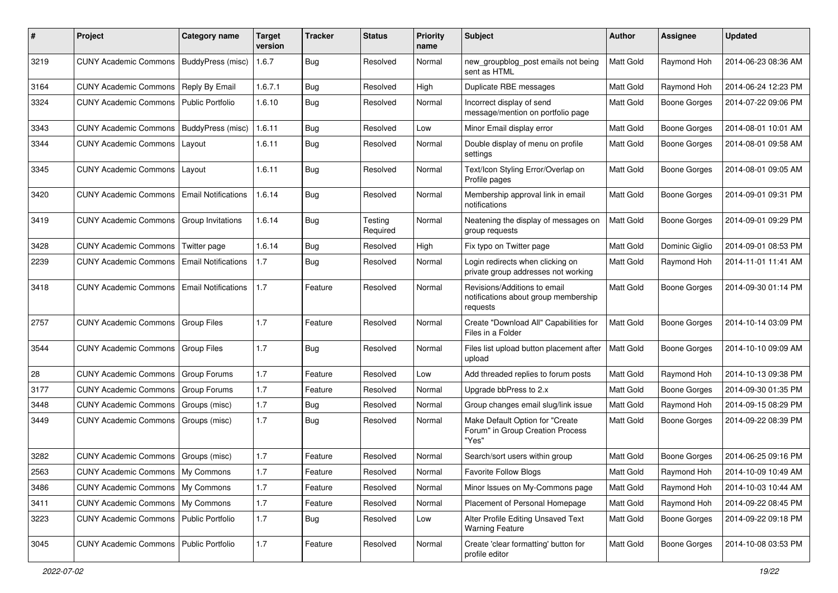| #    | Project                                  | Category name              | <b>Target</b><br>version | <b>Tracker</b> | <b>Status</b>       | <b>Priority</b><br>name | <b>Subject</b>                                                                   | <b>Author</b>    | Assignee            | <b>Updated</b>      |
|------|------------------------------------------|----------------------------|--------------------------|----------------|---------------------|-------------------------|----------------------------------------------------------------------------------|------------------|---------------------|---------------------|
| 3219 | <b>CUNY Academic Commons</b>             | <b>BuddyPress</b> (misc)   | 1.6.7                    | Bug            | Resolved            | Normal                  | new_groupblog_post emails not being<br>sent as HTML                              | <b>Matt Gold</b> | Raymond Hoh         | 2014-06-23 08:36 AM |
| 3164 | <b>CUNY Academic Commons</b>             | Reply By Email             | 1.6.7.1                  | Bug            | Resolved            | High                    | Duplicate RBE messages                                                           | Matt Gold        | Raymond Hoh         | 2014-06-24 12:23 PM |
| 3324 | <b>CUNY Academic Commons</b>             | Public Portfolio           | 1.6.10                   | Bug            | Resolved            | Normal                  | Incorrect display of send<br>message/mention on portfolio page                   | <b>Matt Gold</b> | Boone Gorges        | 2014-07-22 09:06 PM |
| 3343 | <b>CUNY Academic Commons</b>             | BuddyPress (misc)          | 1.6.11                   | Bug            | Resolved            | Low                     | Minor Email display error                                                        | Matt Gold        | <b>Boone Gorges</b> | 2014-08-01 10:01 AM |
| 3344 | <b>CUNY Academic Commons</b>             | Layout                     | 1.6.11                   | Bug            | Resolved            | Normal                  | Double display of menu on profile<br>settings                                    | Matt Gold        | Boone Gorges        | 2014-08-01 09:58 AM |
| 3345 | <b>CUNY Academic Commons</b>             | Layout                     | 1.6.11                   | Bug            | Resolved            | Normal                  | Text/Icon Styling Error/Overlap on<br>Profile pages                              | Matt Gold        | Boone Gorges        | 2014-08-01 09:05 AM |
| 3420 | <b>CUNY Academic Commons</b>             | <b>Email Notifications</b> | 1.6.14                   | Bug            | Resolved            | Normal                  | Membership approval link in email<br>notifications                               | Matt Gold        | Boone Gorges        | 2014-09-01 09:31 PM |
| 3419 | <b>CUNY Academic Commons</b>             | Group Invitations          | 1.6.14                   | Bug            | Testing<br>Required | Normal                  | Neatening the display of messages on<br>group requests                           | Matt Gold        | <b>Boone Gorges</b> | 2014-09-01 09:29 PM |
| 3428 | <b>CUNY Academic Commons</b>             | Twitter page               | 1.6.14                   | Bug            | Resolved            | High                    | Fix typo on Twitter page                                                         | Matt Gold        | Dominic Giglio      | 2014-09-01 08:53 PM |
| 2239 | <b>CUNY Academic Commons</b>             | <b>Email Notifications</b> | 1.7                      | Bug            | Resolved            | Normal                  | Login redirects when clicking on<br>private group addresses not working          | <b>Matt Gold</b> | Raymond Hoh         | 2014-11-01 11:41 AM |
| 3418 | <b>CUNY Academic Commons</b>             | Email Notifications        | 1.7                      | Feature        | Resolved            | Normal                  | Revisions/Additions to email<br>notifications about group membership<br>requests | Matt Gold        | <b>Boone Gorges</b> | 2014-09-30 01:14 PM |
| 2757 | <b>CUNY Academic Commons</b>             | Group Files                | 1.7                      | Feature        | Resolved            | Normal                  | Create "Download All" Capabilities for<br>Files in a Folder                      | <b>Matt Gold</b> | <b>Boone Gorges</b> | 2014-10-14 03:09 PM |
| 3544 | <b>CUNY Academic Commons</b>             | <b>Group Files</b>         | 1.7                      | Bug            | Resolved            | Normal                  | Files list upload button placement after<br>upload                               | Matt Gold        | Boone Gorges        | 2014-10-10 09:09 AM |
| 28   | <b>CUNY Academic Commons</b>             | Group Forums               | 1.7                      | Feature        | Resolved            | Low                     | Add threaded replies to forum posts                                              | Matt Gold        | Raymond Hoh         | 2014-10-13 09:38 PM |
| 3177 | <b>CUNY Academic Commons</b>             | Group Forums               | 1.7                      | Feature        | Resolved            | Normal                  | Upgrade bbPress to 2.x                                                           | Matt Gold        | <b>Boone Gorges</b> | 2014-09-30 01:35 PM |
| 3448 | <b>CUNY Academic Commons</b>             | Groups (misc)              | 1.7                      | Bug            | Resolved            | Normal                  | Group changes email slug/link issue                                              | Matt Gold        | Raymond Hoh         | 2014-09-15 08:29 PM |
| 3449 | <b>CUNY Academic Commons</b>             | Groups (misc)              | 1.7                      | <b>Bug</b>     | Resolved            | Normal                  | Make Default Option for "Create"<br>Forum" in Group Creation Process<br>"Yes"    | Matt Gold        | Boone Gorges        | 2014-09-22 08:39 PM |
| 3282 | <b>CUNY Academic Commons</b>             | Groups (misc)              | 1.7                      | Feature        | Resolved            | Normal                  | Search/sort users within group                                                   | Matt Gold        | <b>Boone Gorges</b> | 2014-06-25 09:16 PM |
| 2563 | CUNY Academic Commons   My Commons       |                            | $1.7\,$                  | Feature        | Resolved            | Normal                  | Favorite Follow Blogs                                                            | Matt Gold        | Raymond Hoh         | 2014-10-09 10:49 AM |
| 3486 | CUNY Academic Commons   My Commons       |                            | 1.7                      | Feature        | Resolved            | Normal                  | Minor Issues on My-Commons page                                                  | Matt Gold        | Raymond Hoh         | 2014-10-03 10:44 AM |
| 3411 | CUNY Academic Commons   My Commons       |                            | 1.7                      | Feature        | Resolved            | Normal                  | Placement of Personal Homepage                                                   | Matt Gold        | Raymond Hoh         | 2014-09-22 08:45 PM |
| 3223 | CUNY Academic Commons   Public Portfolio |                            | $1.7$                    | Bug            | Resolved            | Low                     | Alter Profile Editing Unsaved Text<br><b>Warning Feature</b>                     | Matt Gold        | Boone Gorges        | 2014-09-22 09:18 PM |
| 3045 | CUNY Academic Commons   Public Portfolio |                            | $1.7\,$                  | Feature        | Resolved            | Normal                  | Create 'clear formatting' button for<br>profile editor                           | Matt Gold        | <b>Boone Gorges</b> | 2014-10-08 03:53 PM |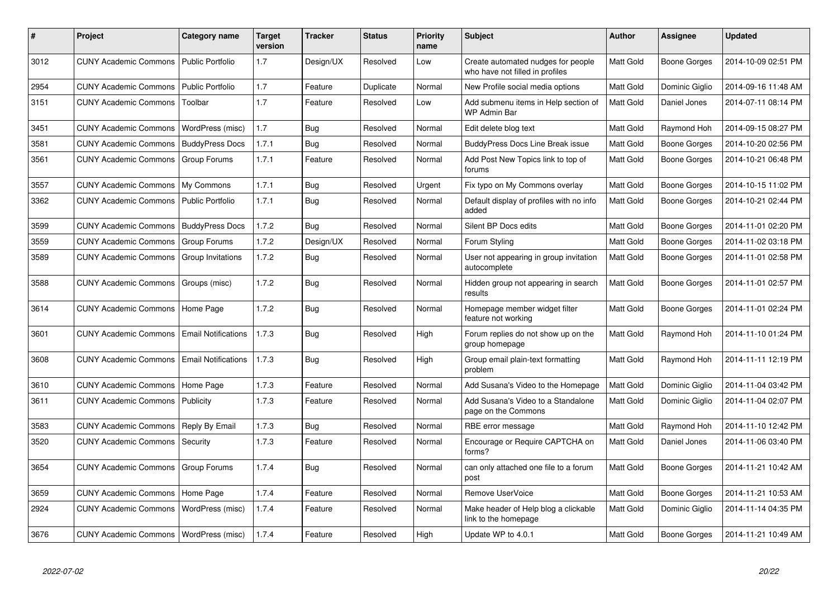| #    | <b>Project</b>                           | Category name              | <b>Target</b><br>version | <b>Tracker</b> | <b>Status</b> | <b>Priority</b><br>name | <b>Subject</b>                                                        | <b>Author</b>    | Assignee       | <b>Updated</b>      |
|------|------------------------------------------|----------------------------|--------------------------|----------------|---------------|-------------------------|-----------------------------------------------------------------------|------------------|----------------|---------------------|
| 3012 | <b>CUNY Academic Commons</b>             | Public Portfolio           | 1.7                      | Design/UX      | Resolved      | Low                     | Create automated nudges for people<br>who have not filled in profiles | Matt Gold        | Boone Gorges   | 2014-10-09 02:51 PM |
| 2954 | <b>CUNY Academic Commons</b>             | Public Portfolio           | 1.7                      | Feature        | Duplicate     | Normal                  | New Profile social media options                                      | Matt Gold        | Dominic Giglio | 2014-09-16 11:48 AM |
| 3151 | <b>CUNY Academic Commons</b>             | Toolbar                    | 1.7                      | Feature        | Resolved      | Low                     | Add submenu items in Help section of<br><b>WP Admin Bar</b>           | <b>Matt Gold</b> | Daniel Jones   | 2014-07-11 08:14 PM |
| 3451 | <b>CUNY Academic Commons</b>             | WordPress (misc)           | 1.7                      | Bug            | Resolved      | Normal                  | Edit delete blog text                                                 | Matt Gold        | Raymond Hoh    | 2014-09-15 08:27 PM |
| 3581 | <b>CUNY Academic Commons</b>             | <b>BuddyPress Docs</b>     | 1.7.1                    | Bug            | Resolved      | Normal                  | <b>BuddyPress Docs Line Break issue</b>                               | Matt Gold        | Boone Gorges   | 2014-10-20 02:56 PM |
| 3561 | <b>CUNY Academic Commons</b>             | Group Forums               | 1.7.1                    | Feature        | Resolved      | Normal                  | Add Post New Topics link to top of<br>forums                          | Matt Gold        | Boone Gorges   | 2014-10-21 06:48 PM |
| 3557 | <b>CUNY Academic Commons</b>             | My Commons                 | 1.7.1                    | Bug            | Resolved      | Urgent                  | Fix typo on My Commons overlay                                        | Matt Gold        | Boone Gorges   | 2014-10-15 11:02 PM |
| 3362 | <b>CUNY Academic Commons</b>             | <b>Public Portfolio</b>    | 1.7.1                    | <b>Bug</b>     | Resolved      | Normal                  | Default display of profiles with no info<br>added                     | Matt Gold        | Boone Gorges   | 2014-10-21 02:44 PM |
| 3599 | <b>CUNY Academic Commons</b>             | <b>BuddyPress Docs</b>     | 1.7.2                    | Bug            | Resolved      | Normal                  | Silent BP Docs edits                                                  | Matt Gold        | Boone Gorges   | 2014-11-01 02:20 PM |
| 3559 | <b>CUNY Academic Commons</b>             | Group Forums               | 1.7.2                    | Design/UX      | Resolved      | Normal                  | Forum Styling                                                         | Matt Gold        | Boone Gorges   | 2014-11-02 03:18 PM |
| 3589 | <b>CUNY Academic Commons</b>             | Group Invitations          | 1.7.2                    | Bug            | Resolved      | Normal                  | User not appearing in group invitation<br>autocomplete                | Matt Gold        | Boone Gorges   | 2014-11-01 02:58 PM |
| 3588 | <b>CUNY Academic Commons</b>             | Groups (misc)              | 1.7.2                    | Bug            | Resolved      | Normal                  | Hidden group not appearing in search<br>results                       | Matt Gold        | Boone Gorges   | 2014-11-01 02:57 PM |
| 3614 | <b>CUNY Academic Commons</b>             | Home Page                  | 1.7.2                    | Bug            | Resolved      | Normal                  | Homepage member widget filter<br>feature not working                  | Matt Gold        | Boone Gorges   | 2014-11-01 02:24 PM |
| 3601 | <b>CUNY Academic Commons</b>             | <b>Email Notifications</b> | 1.7.3                    | Bug            | Resolved      | High                    | Forum replies do not show up on the<br>group homepage                 | <b>Matt Gold</b> | Raymond Hoh    | 2014-11-10 01:24 PM |
| 3608 | <b>CUNY Academic Commons</b>             | <b>Email Notifications</b> | 1.7.3                    | Bug            | Resolved      | High                    | Group email plain-text formatting<br>problem                          | <b>Matt Gold</b> | Raymond Hoh    | 2014-11-11 12:19 PM |
| 3610 | <b>CUNY Academic Commons</b>             | Home Page                  | 1.7.3                    | Feature        | Resolved      | Normal                  | Add Susana's Video to the Homepage                                    | Matt Gold        | Dominic Giglio | 2014-11-04 03:42 PM |
| 3611 | <b>CUNY Academic Commons</b>             | Publicity                  | 1.7.3                    | Feature        | Resolved      | Normal                  | Add Susana's Video to a Standalone<br>page on the Commons             | Matt Gold        | Dominic Giglio | 2014-11-04 02:07 PM |
| 3583 | <b>CUNY Academic Commons</b>             | Reply By Email             | 1.7.3                    | Bug            | Resolved      | Normal                  | RBE error message                                                     | <b>Matt Gold</b> | Raymond Hoh    | 2014-11-10 12:42 PM |
| 3520 | <b>CUNY Academic Commons</b>             | Security                   | 1.7.3                    | Feature        | Resolved      | Normal                  | Encourage or Require CAPTCHA on<br>forms?                             | Matt Gold        | Daniel Jones   | 2014-11-06 03:40 PM |
| 3654 | <b>CUNY Academic Commons</b>             | Group Forums               | 1.7.4                    | <b>Bug</b>     | Resolved      | Normal                  | can only attached one file to a forum<br>post                         | Matt Gold        | Boone Gorges   | 2014-11-21 10:42 AM |
| 3659 | <b>CUNY Academic Commons</b>             | Home Page                  | 1.7.4                    | Feature        | Resolved      | Normal                  | Remove UserVoice                                                      | Matt Gold        | Boone Gorges   | 2014-11-21 10:53 AM |
| 2924 | <b>CUNY Academic Commons</b>             | WordPress (misc)           | 1.7.4                    | Feature        | Resolved      | Normal                  | Make header of Help blog a clickable<br>link to the homepage          | <b>Matt Gold</b> | Dominic Giglio | 2014-11-14 04:35 PM |
| 3676 | CUNY Academic Commons   WordPress (misc) |                            | 1.7.4                    | Feature        | Resolved      | High                    | Update WP to 4.0.1                                                    | Matt Gold        | Boone Gorges   | 2014-11-21 10:49 AM |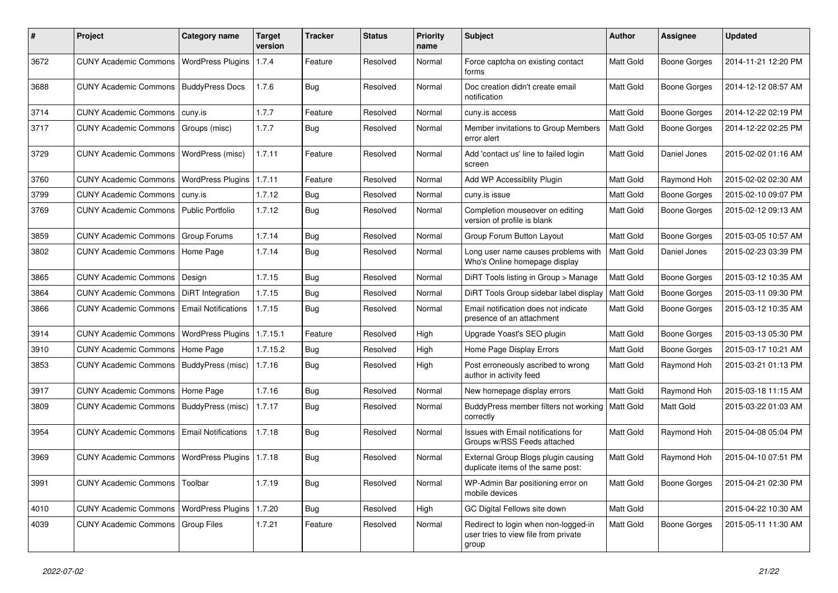| #    | Project                      | <b>Category name</b>       | <b>Target</b><br>version | <b>Tracker</b> | <b>Status</b> | <b>Priority</b><br>name | Subject                                                                               | <b>Author</b> | <b>Assignee</b>     | <b>Updated</b>      |
|------|------------------------------|----------------------------|--------------------------|----------------|---------------|-------------------------|---------------------------------------------------------------------------------------|---------------|---------------------|---------------------|
| 3672 | <b>CUNY Academic Commons</b> | <b>WordPress Plugins</b>   | 1.7.4                    | Feature        | Resolved      | Normal                  | Force captcha on existing contact<br>forms                                            | Matt Gold     | <b>Boone Gorges</b> | 2014-11-21 12:20 PM |
| 3688 | <b>CUNY Academic Commons</b> | <b>BuddyPress Docs</b>     | 1.7.6                    | Bug            | Resolved      | Normal                  | Doc creation didn't create email<br>notification                                      | Matt Gold     | <b>Boone Gorges</b> | 2014-12-12 08:57 AM |
| 3714 | <b>CUNY Academic Commons</b> | cuny.is                    | 1.7.7                    | Feature        | Resolved      | Normal                  | cuny.is access                                                                        | Matt Gold     | <b>Boone Gorges</b> | 2014-12-22 02:19 PM |
| 3717 | <b>CUNY Academic Commons</b> | Groups (misc)              | 1.7.7                    | Bug            | Resolved      | Normal                  | Member invitations to Group Members<br>error alert                                    | Matt Gold     | <b>Boone Gorges</b> | 2014-12-22 02:25 PM |
| 3729 | <b>CUNY Academic Commons</b> | WordPress (misc)           | 1.7.11                   | Feature        | Resolved      | Normal                  | Add 'contact us' line to failed login<br>screen                                       | Matt Gold     | Daniel Jones        | 2015-02-02 01:16 AM |
| 3760 | <b>CUNY Academic Commons</b> | <b>WordPress Plugins</b>   | 1.7.11                   | Feature        | Resolved      | Normal                  | Add WP Accessiblity Plugin                                                            | Matt Gold     | Raymond Hoh         | 2015-02-02 02:30 AM |
| 3799 | <b>CUNY Academic Commons</b> | cuny.is                    | 1.7.12                   | <b>Bug</b>     | Resolved      | Normal                  | cuny.is issue                                                                         | Matt Gold     | Boone Gorges        | 2015-02-10 09:07 PM |
| 3769 | <b>CUNY Academic Commons</b> | Public Portfolio           | 1.7.12                   | <b>Bug</b>     | Resolved      | Normal                  | Completion mouseover on editing<br>version of profile is blank                        | Matt Gold     | <b>Boone Gorges</b> | 2015-02-12 09:13 AM |
| 3859 | <b>CUNY Academic Commons</b> | <b>Group Forums</b>        | 1.7.14                   | <b>Bug</b>     | Resolved      | Normal                  | Group Forum Button Layout                                                             | Matt Gold     | <b>Boone Gorges</b> | 2015-03-05 10:57 AM |
| 3802 | <b>CUNY Academic Commons</b> | Home Page                  | 1.7.14                   | Bug            | Resolved      | Normal                  | Long user name causes problems with<br>Who's Online homepage display                  | Matt Gold     | Daniel Jones        | 2015-02-23 03:39 PM |
| 3865 | <b>CUNY Academic Commons</b> | Design                     | 1.7.15                   | Bug            | Resolved      | Normal                  | DiRT Tools listing in Group > Manage                                                  | Matt Gold     | <b>Boone Gorges</b> | 2015-03-12 10:35 AM |
| 3864 | <b>CUNY Academic Commons</b> | <b>DiRT</b> Integration    | 1.7.15                   | Bug            | Resolved      | Normal                  | DiRT Tools Group sidebar label display                                                | Matt Gold     | <b>Boone Gorges</b> | 2015-03-11 09:30 PM |
| 3866 | <b>CUNY Academic Commons</b> | <b>Email Notifications</b> | 1.7.15                   | Bug            | Resolved      | Normal                  | Email notification does not indicate<br>presence of an attachment                     | Matt Gold     | <b>Boone Gorges</b> | 2015-03-12 10:35 AM |
| 3914 | <b>CUNY Academic Commons</b> | <b>WordPress Plugins</b>   | 1.7.15.1                 | Feature        | Resolved      | High                    | Upgrade Yoast's SEO plugin                                                            | Matt Gold     | <b>Boone Gorges</b> | 2015-03-13 05:30 PM |
| 3910 | <b>CUNY Academic Commons</b> | Home Page                  | 1.7.15.2                 | Bug            | Resolved      | High                    | Home Page Display Errors                                                              | Matt Gold     | <b>Boone Gorges</b> | 2015-03-17 10:21 AM |
| 3853 | <b>CUNY Academic Commons</b> | BuddyPress (misc)          | 1.7.16                   | Bug            | Resolved      | High                    | Post erroneously ascribed to wrong<br>author in activity feed                         | Matt Gold     | Raymond Hoh         | 2015-03-21 01:13 PM |
| 3917 | <b>CUNY Academic Commons</b> | Home Page                  | 1.7.16                   | Bug            | Resolved      | Normal                  | New homepage display errors                                                           | Matt Gold     | Raymond Hoh         | 2015-03-18 11:15 AM |
| 3809 | <b>CUNY Academic Commons</b> | BuddyPress (misc)          | 1.7.17                   | Bug            | Resolved      | Normal                  | BuddyPress member filters not working<br>correctly                                    | Matt Gold     | Matt Gold           | 2015-03-22 01:03 AM |
| 3954 | <b>CUNY Academic Commons</b> | <b>Email Notifications</b> | 1.7.18                   | <b>Bug</b>     | Resolved      | Normal                  | Issues with Email notifications for<br>Groups w/RSS Feeds attached                    | Matt Gold     | Raymond Hoh         | 2015-04-08 05:04 PM |
| 3969 | <b>CUNY Academic Commons</b> | <b>WordPress Plugins</b>   | 1.7.18                   | <b>Bug</b>     | Resolved      | Normal                  | External Group Blogs plugin causing<br>duplicate items of the same post:              | Matt Gold     | Raymond Hoh         | 2015-04-10 07:51 PM |
| 3991 | <b>CUNY Academic Commons</b> | Toolbar                    | 1.7.19                   | <b>Bug</b>     | Resolved      | Normal                  | WP-Admin Bar positioning error on<br>mobile devices                                   | Matt Gold     | Boone Gorges        | 2015-04-21 02:30 PM |
| 4010 | <b>CUNY Academic Commons</b> | <b>WordPress Plugins</b>   | 1.7.20                   | Bug            | Resolved      | High                    | GC Digital Fellows site down                                                          | Matt Gold     |                     | 2015-04-22 10:30 AM |
| 4039 | <b>CUNY Academic Commons</b> | Group Files                | 1.7.21                   | Feature        | Resolved      | Normal                  | Redirect to login when non-logged-in<br>user tries to view file from private<br>group | Matt Gold     | <b>Boone Gorges</b> | 2015-05-11 11:30 AM |